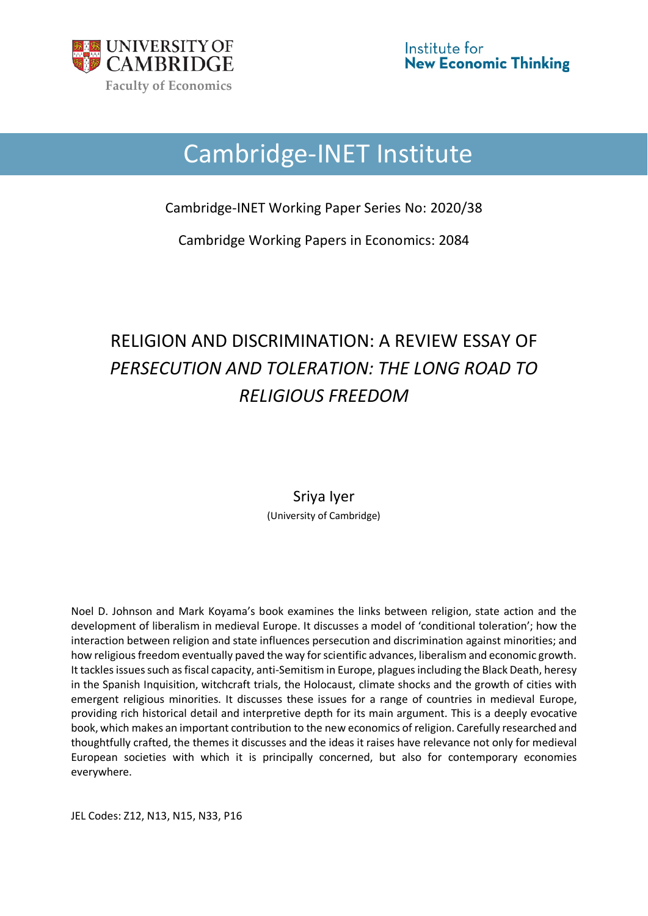

# Cambridge-INET Institute

Cambridge-INET Working Paper Series No: 2020/38

Cambridge Working Papers in Economics: 2084

## RELIGION AND DISCRIMINATION: A REVIEW ESSAY OF *PERSECUTION AND TOLERATION: THE LONG ROAD TO RELIGIOUS FREEDOM*

Sriya Iyer (University of Cambridge)

Noel D. Johnson and Mark Koyama's book examines the links between religion, state action and the development of liberalism in medieval Europe. It discusses a model of 'conditional toleration'; how the interaction between religion and state influences persecution and discrimination against minorities; and how religious freedom eventually paved the way for scientific advances, liberalism and economic growth. It tackles issues such as fiscal capacity, anti-Semitism in Europe, plagues including the Black Death, heresy in the Spanish Inquisition, witchcraft trials, the Holocaust, climate shocks and the growth of cities with emergent religious minorities. It discusses these issues for a range of countries in medieval Europe, providing rich historical detail and interpretive depth for its main argument. This is a deeply evocative book, which makes an important contribution to the new economics of religion. Carefully researched and thoughtfully crafted, the themes it discusses and the ideas it raises have relevance not only for medieval European societies with which it is principally concerned, but also for contemporary economies everywhere.

JEL Codes: Z12, N13, N15, N33, P16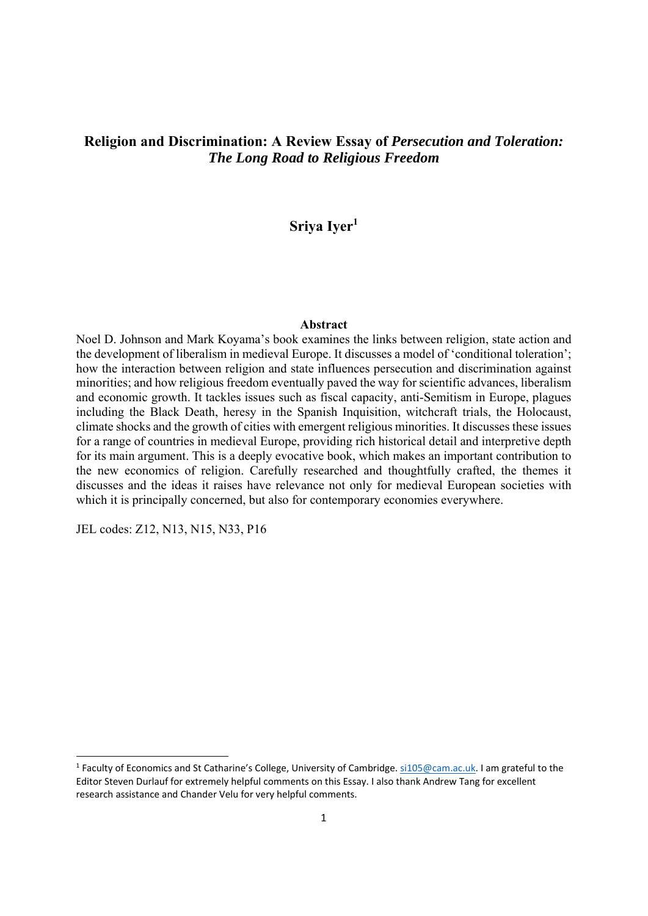### **Religion and Discrimination: A Review Essay of** *Persecution and Toleration: The Long Road to Religious Freedom*

**Sriya Iyer1**

#### **Abstract**

Noel D. Johnson and Mark Koyama's book examines the links between religion, state action and the development of liberalism in medieval Europe. It discusses a model of 'conditional toleration'; how the interaction between religion and state influences persecution and discrimination against minorities; and how religious freedom eventually paved the way for scientific advances, liberalism and economic growth. It tackles issues such as fiscal capacity, anti-Semitism in Europe, plagues including the Black Death, heresy in the Spanish Inquisition, witchcraft trials, the Holocaust, climate shocks and the growth of cities with emergent religious minorities. It discusses these issues for a range of countries in medieval Europe, providing rich historical detail and interpretive depth for its main argument. This is a deeply evocative book, which makes an important contribution to the new economics of religion. Carefully researched and thoughtfully crafted, the themes it discusses and the ideas it raises have relevance not only for medieval European societies with which it is principally concerned, but also for contemporary economies everywhere.

JEL codes: Z12, N13, N15, N33, P16

<sup>&</sup>lt;sup>1</sup> Faculty of Economics and St Catharine's College, University of Cambridge. si105@cam.ac.uk. I am grateful to the Editor Steven Durlauf for extremely helpful comments on this Essay. I also thank Andrew Tang for excellent research assistance and Chander Velu for very helpful comments.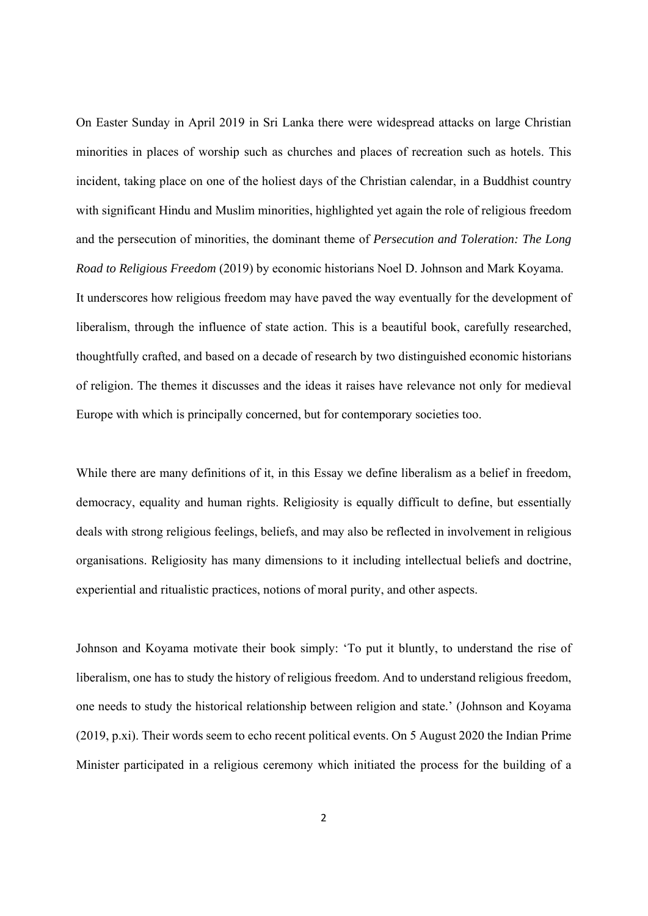On Easter Sunday in April 2019 in Sri Lanka there were widespread attacks on large Christian minorities in places of worship such as churches and places of recreation such as hotels. This incident, taking place on one of the holiest days of the Christian calendar, in a Buddhist country with significant Hindu and Muslim minorities, highlighted yet again the role of religious freedom and the persecution of minorities, the dominant theme of *Persecution and Toleration: The Long Road to Religious Freedom* (2019) by economic historians Noel D. Johnson and Mark Koyama. It underscores how religious freedom may have paved the way eventually for the development of liberalism, through the influence of state action. This is a beautiful book, carefully researched, thoughtfully crafted, and based on a decade of research by two distinguished economic historians of religion. The themes it discusses and the ideas it raises have relevance not only for medieval Europe with which is principally concerned, but for contemporary societies too.

While there are many definitions of it, in this Essay we define liberalism as a belief in freedom, democracy, equality and human rights. Religiosity is equally difficult to define, but essentially deals with strong religious feelings, beliefs, and may also be reflected in involvement in religious organisations. Religiosity has many dimensions to it including intellectual beliefs and doctrine, experiential and ritualistic practices, notions of moral purity, and other aspects.

Johnson and Koyama motivate their book simply: 'To put it bluntly, to understand the rise of liberalism, one has to study the history of religious freedom. And to understand religious freedom, one needs to study the historical relationship between religion and state.' (Johnson and Koyama (2019, p.xi). Their words seem to echo recent political events. On 5 August 2020 the Indian Prime Minister participated in a religious ceremony which initiated the process for the building of a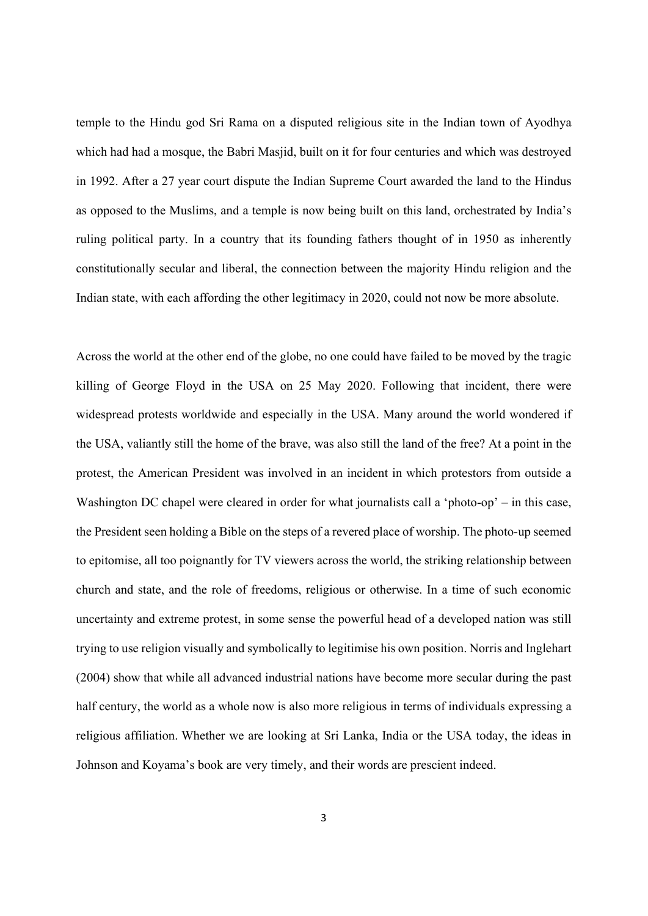temple to the Hindu god Sri Rama on a disputed religious site in the Indian town of Ayodhya which had had a mosque, the Babri Masjid, built on it for four centuries and which was destroyed in 1992. After a 27 year court dispute the Indian Supreme Court awarded the land to the Hindus as opposed to the Muslims, and a temple is now being built on this land, orchestrated by India's ruling political party. In a country that its founding fathers thought of in 1950 as inherently constitutionally secular and liberal, the connection between the majority Hindu religion and the Indian state, with each affording the other legitimacy in 2020, could not now be more absolute.

Across the world at the other end of the globe, no one could have failed to be moved by the tragic killing of George Floyd in the USA on 25 May 2020. Following that incident, there were widespread protests worldwide and especially in the USA. Many around the world wondered if the USA, valiantly still the home of the brave, was also still the land of the free? At a point in the protest, the American President was involved in an incident in which protestors from outside a Washington DC chapel were cleared in order for what journalists call a 'photo-op' – in this case, the President seen holding a Bible on the steps of a revered place of worship. The photo-up seemed to epitomise, all too poignantly for TV viewers across the world, the striking relationship between church and state, and the role of freedoms, religious or otherwise. In a time of such economic uncertainty and extreme protest, in some sense the powerful head of a developed nation was still trying to use religion visually and symbolically to legitimise his own position. Norris and Inglehart (2004) show that while all advanced industrial nations have become more secular during the past half century, the world as a whole now is also more religious in terms of individuals expressing a religious affiliation. Whether we are looking at Sri Lanka, India or the USA today, the ideas in Johnson and Koyama's book are very timely, and their words are prescient indeed.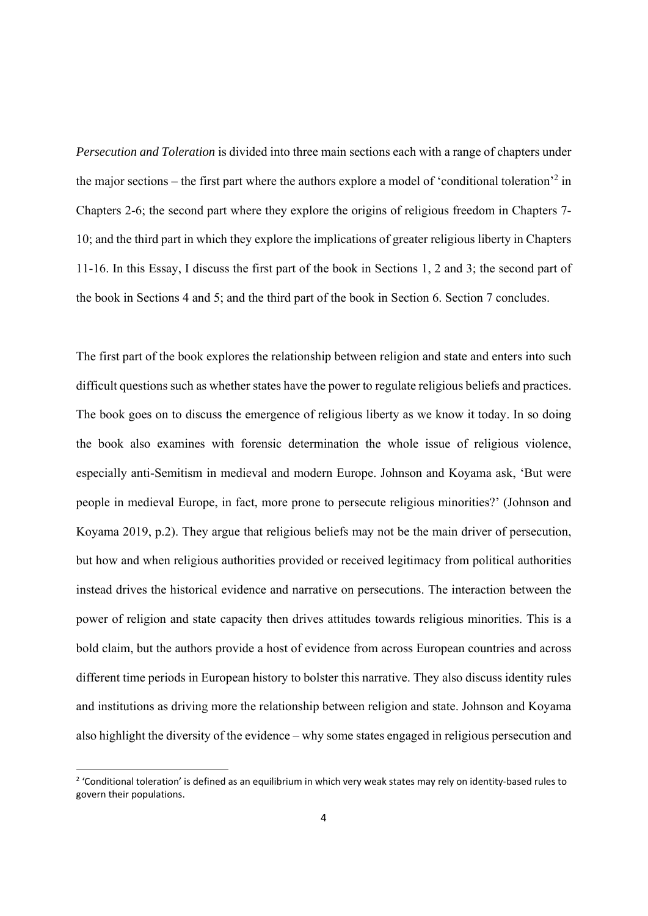*Persecution and Toleration* is divided into three main sections each with a range of chapters under the major sections – the first part where the authors explore a model of 'conditional toleration'<sup>2</sup> in Chapters 2-6; the second part where they explore the origins of religious freedom in Chapters 7- 10; and the third part in which they explore the implications of greater religious liberty in Chapters 11-16. In this Essay, I discuss the first part of the book in Sections 1, 2 and 3; the second part of the book in Sections 4 and 5; and the third part of the book in Section 6. Section 7 concludes.

The first part of the book explores the relationship between religion and state and enters into such difficult questions such as whether states have the power to regulate religious beliefs and practices. The book goes on to discuss the emergence of religious liberty as we know it today. In so doing the book also examines with forensic determination the whole issue of religious violence, especially anti-Semitism in medieval and modern Europe. Johnson and Koyama ask, 'But were people in medieval Europe, in fact, more prone to persecute religious minorities?' (Johnson and Koyama 2019, p.2). They argue that religious beliefs may not be the main driver of persecution, but how and when religious authorities provided or received legitimacy from political authorities instead drives the historical evidence and narrative on persecutions. The interaction between the power of religion and state capacity then drives attitudes towards religious minorities. This is a bold claim, but the authors provide a host of evidence from across European countries and across different time periods in European history to bolster this narrative. They also discuss identity rules and institutions as driving more the relationship between religion and state. Johnson and Koyama also highlight the diversity of the evidence – why some states engaged in religious persecution and

<sup>&</sup>lt;sup>2</sup> 'Conditional toleration' is defined as an equilibrium in which very weak states may rely on identity-based rules to govern their populations.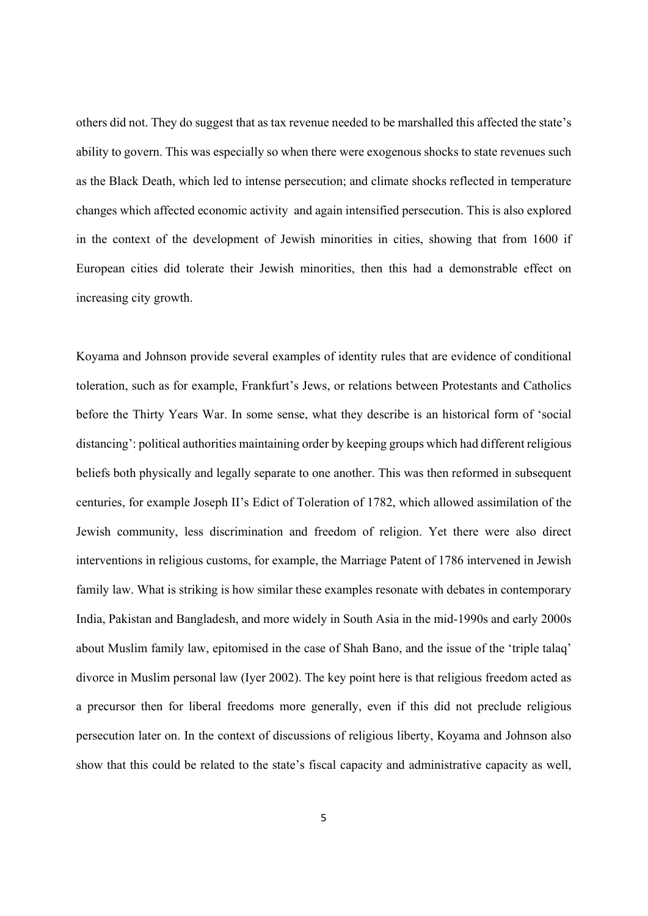others did not. They do suggest that as tax revenue needed to be marshalled this affected the state's ability to govern. This was especially so when there were exogenous shocks to state revenues such as the Black Death, which led to intense persecution; and climate shocks reflected in temperature changes which affected economic activity and again intensified persecution. This is also explored in the context of the development of Jewish minorities in cities, showing that from 1600 if European cities did tolerate their Jewish minorities, then this had a demonstrable effect on increasing city growth.

Koyama and Johnson provide several examples of identity rules that are evidence of conditional toleration, such as for example, Frankfurt's Jews, or relations between Protestants and Catholics before the Thirty Years War. In some sense, what they describe is an historical form of 'social distancing': political authorities maintaining order by keeping groups which had different religious beliefs both physically and legally separate to one another. This was then reformed in subsequent centuries, for example Joseph II's Edict of Toleration of 1782, which allowed assimilation of the Jewish community, less discrimination and freedom of religion. Yet there were also direct interventions in religious customs, for example, the Marriage Patent of 1786 intervened in Jewish family law. What is striking is how similar these examples resonate with debates in contemporary India, Pakistan and Bangladesh, and more widely in South Asia in the mid-1990s and early 2000s about Muslim family law, epitomised in the case of Shah Bano, and the issue of the 'triple talaq' divorce in Muslim personal law (Iyer 2002). The key point here is that religious freedom acted as a precursor then for liberal freedoms more generally, even if this did not preclude religious persecution later on. In the context of discussions of religious liberty, Koyama and Johnson also show that this could be related to the state's fiscal capacity and administrative capacity as well,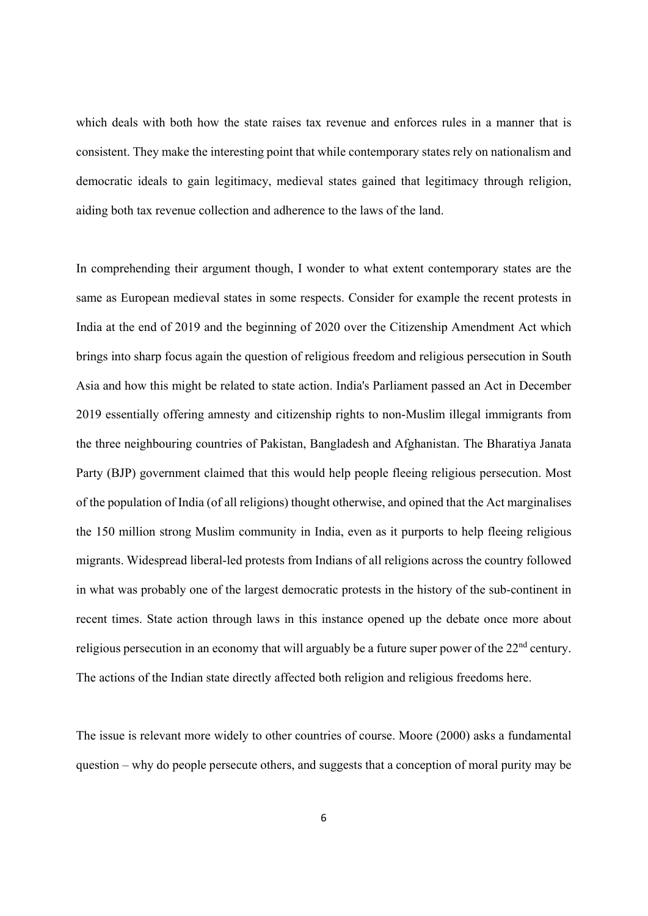which deals with both how the state raises tax revenue and enforces rules in a manner that is consistent. They make the interesting point that while contemporary states rely on nationalism and democratic ideals to gain legitimacy, medieval states gained that legitimacy through religion, aiding both tax revenue collection and adherence to the laws of the land.

In comprehending their argument though, I wonder to what extent contemporary states are the same as European medieval states in some respects. Consider for example the recent protests in India at the end of 2019 and the beginning of 2020 over the Citizenship Amendment Act which brings into sharp focus again the question of religious freedom and religious persecution in South Asia and how this might be related to state action. India's Parliament passed an Act in December 2019 essentially offering amnesty and citizenship rights to non-Muslim illegal immigrants from the three neighbouring countries of Pakistan, Bangladesh and Afghanistan. The Bharatiya Janata Party (BJP) government claimed that this would help people fleeing religious persecution. Most of the population of India (of all religions) thought otherwise, and opined that the Act marginalises the 150 million strong Muslim community in India, even as it purports to help fleeing religious migrants. Widespread liberal-led protests from Indians of all religions across the country followed in what was probably one of the largest democratic protests in the history of the sub-continent in recent times. State action through laws in this instance opened up the debate once more about religious persecution in an economy that will arguably be a future super power of the 22<sup>nd</sup> century. The actions of the Indian state directly affected both religion and religious freedoms here.

The issue is relevant more widely to other countries of course. Moore (2000) asks a fundamental question – why do people persecute others, and suggests that a conception of moral purity may be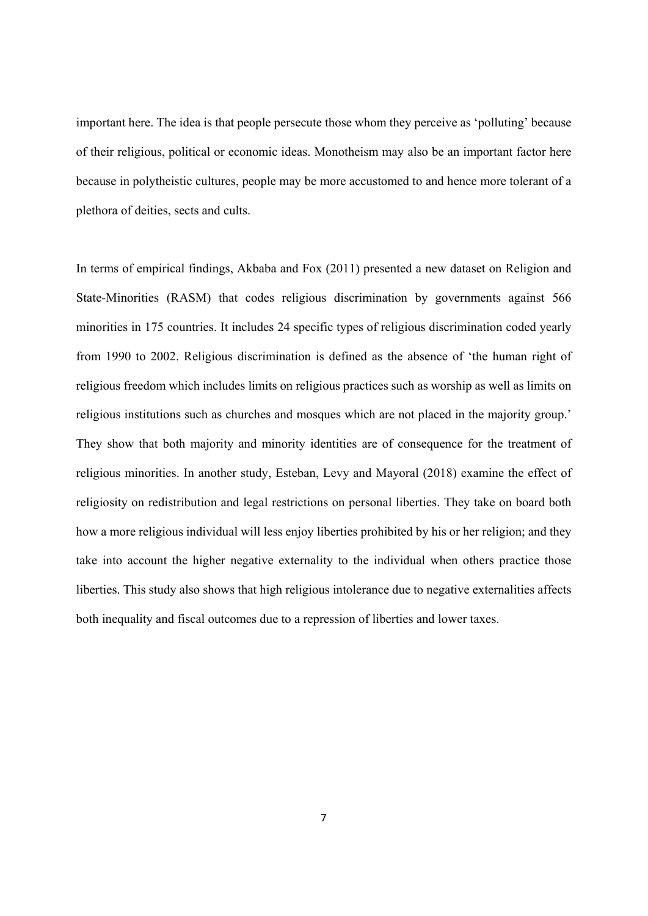important here. The idea is that people persecute those whom they perceive as 'polluting' because of their religious, political or economic ideas. Monotheism may also be an important factor here because in polytheistic cultures, people may be more accustomed to and hence more tolerant of a plethora of deities, sects and cults.

In terms of empirical findings, Akbaba and Fox (2011) presented a new dataset on Religion and State-Minorities (RASM) that codes religious discrimination by governments against 566 minorities in 175 countries. It includes 24 specific types of religious discrimination coded yearly from 1990 to 2002. Religious discrimination is defined as the absence of 'the human right of religious freedom which includes limits on religious practices such as worship as well as limits on religious institutions such as churches and mosques which are not placed in the majority group.' They show that both majority and minority identities are of consequence for the treatment of religious minorities. In another study, Esteban, Levy and Mayoral (2018) examine the effect of religiosity on redistribution and legal restrictions on personal liberties. They take on board both how a more religious individual will less enjoy liberties prohibited by his or her religion; and they take into account the higher negative externality to the individual when others practice those liberties. This study also shows that high religious intolerance due to negative externalities affects both inequality and fiscal outcomes due to a repression of liberties and lower taxes.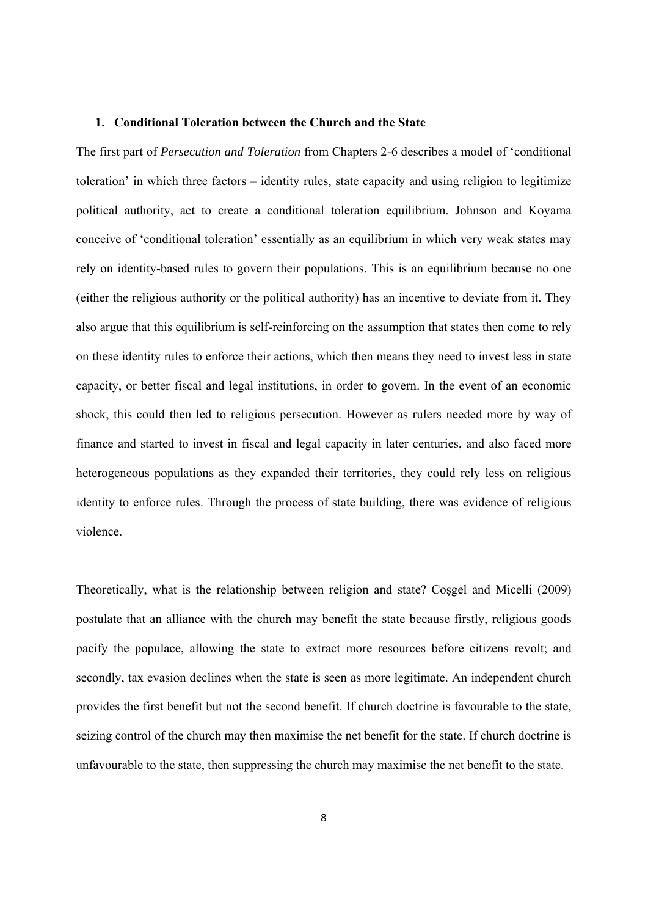#### **1. Conditional Toleration between the Church and the State**

The first part of *Persecution and Toleration* from Chapters 2-6 describes a model of 'conditional toleration' in which three factors – identity rules, state capacity and using religion to legitimize political authority, act to create a conditional toleration equilibrium. Johnson and Koyama conceive of 'conditional toleration' essentially as an equilibrium in which very weak states may rely on identity-based rules to govern their populations. This is an equilibrium because no one (either the religious authority or the political authority) has an incentive to deviate from it. They also argue that this equilibrium is self-reinforcing on the assumption that states then come to rely on these identity rules to enforce their actions, which then means they need to invest less in state capacity, or better fiscal and legal institutions, in order to govern. In the event of an economic shock, this could then led to religious persecution. However as rulers needed more by way of finance and started to invest in fiscal and legal capacity in later centuries, and also faced more heterogeneous populations as they expanded their territories, they could rely less on religious identity to enforce rules. Through the process of state building, there was evidence of religious violence.

Theoretically, what is the relationship between religion and state? Coşgel and Micelli (2009) postulate that an alliance with the church may benefit the state because firstly, religious goods pacify the populace, allowing the state to extract more resources before citizens revolt; and secondly, tax evasion declines when the state is seen as more legitimate. An independent church provides the first benefit but not the second benefit. If church doctrine is favourable to the state, seizing control of the church may then maximise the net benefit for the state. If church doctrine is unfavourable to the state, then suppressing the church may maximise the net benefit to the state.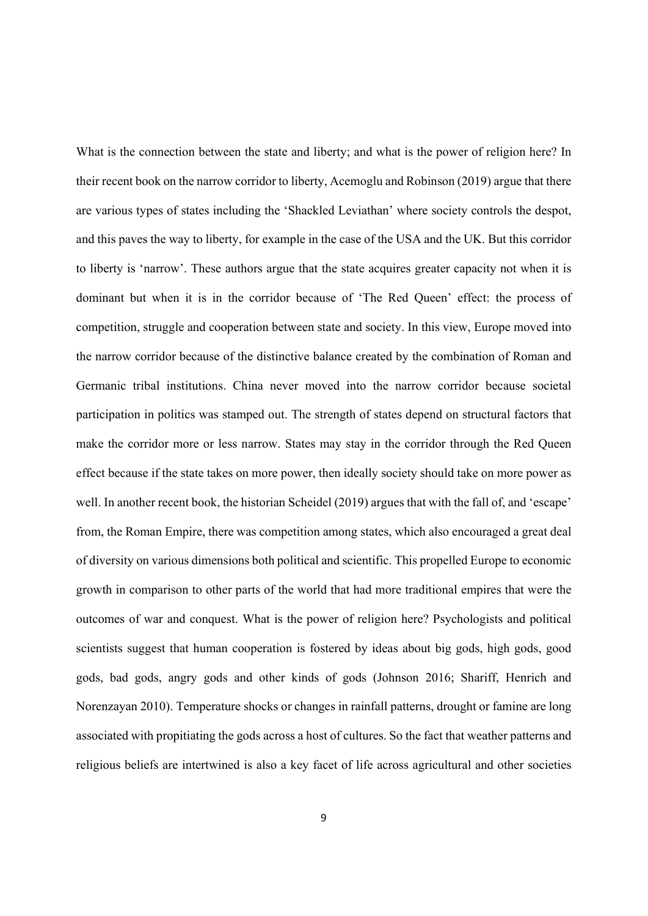What is the connection between the state and liberty; and what is the power of religion here? In their recent book on the narrow corridor to liberty, Acemoglu and Robinson (2019) argue that there are various types of states including the 'Shackled Leviathan' where society controls the despot, and this paves the way to liberty, for example in the case of the USA and the UK. But this corridor to liberty is 'narrow'. These authors argue that the state acquires greater capacity not when it is dominant but when it is in the corridor because of 'The Red Queen' effect: the process of competition, struggle and cooperation between state and society. In this view, Europe moved into the narrow corridor because of the distinctive balance created by the combination of Roman and Germanic tribal institutions. China never moved into the narrow corridor because societal participation in politics was stamped out. The strength of states depend on structural factors that make the corridor more or less narrow. States may stay in the corridor through the Red Queen effect because if the state takes on more power, then ideally society should take on more power as well. In another recent book, the historian Scheidel (2019) argues that with the fall of, and 'escape' from, the Roman Empire, there was competition among states, which also encouraged a great deal of diversity on various dimensions both political and scientific. This propelled Europe to economic growth in comparison to other parts of the world that had more traditional empires that were the outcomes of war and conquest. What is the power of religion here? Psychologists and political scientists suggest that human cooperation is fostered by ideas about big gods, high gods, good gods, bad gods, angry gods and other kinds of gods (Johnson 2016; Shariff, Henrich and Norenzayan 2010). Temperature shocks or changes in rainfall patterns, drought or famine are long associated with propitiating the gods across a host of cultures. So the fact that weather patterns and religious beliefs are intertwined is also a key facet of life across agricultural and other societies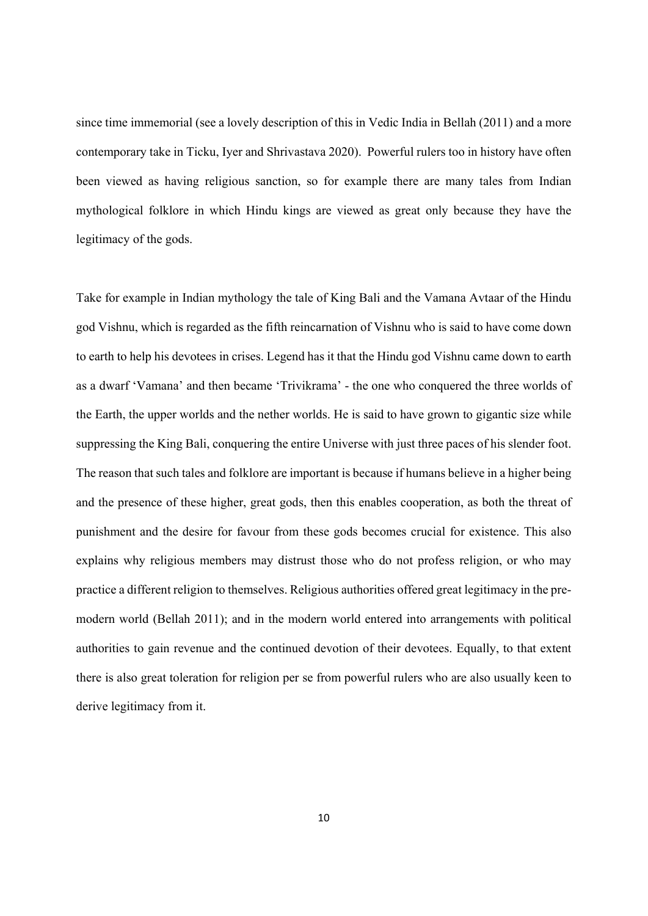since time immemorial (see a lovely description of this in Vedic India in Bellah (2011) and a more contemporary take in Ticku, Iyer and Shrivastava 2020). Powerful rulers too in history have often been viewed as having religious sanction, so for example there are many tales from Indian mythological folklore in which Hindu kings are viewed as great only because they have the legitimacy of the gods.

Take for example in Indian mythology the tale of King Bali and the Vamana Avtaar of the Hindu god Vishnu, which is regarded as the fifth reincarnation of Vishnu who is said to have come down to earth to help his devotees in crises. Legend has it that the Hindu god Vishnu came down to earth as a dwarf 'Vamana' and then became 'Trivikrama' - the one who conquered the three worlds of the Earth, the upper worlds and the nether worlds. He is said to have grown to gigantic size while suppressing the King Bali, conquering the entire Universe with just three paces of his slender foot. The reason that such tales and folklore are important is because if humans believe in a higher being and the presence of these higher, great gods, then this enables cooperation, as both the threat of punishment and the desire for favour from these gods becomes crucial for existence. This also explains why religious members may distrust those who do not profess religion, or who may practice a different religion to themselves. Religious authorities offered great legitimacy in the premodern world (Bellah 2011); and in the modern world entered into arrangements with political authorities to gain revenue and the continued devotion of their devotees. Equally, to that extent there is also great toleration for religion per se from powerful rulers who are also usually keen to derive legitimacy from it.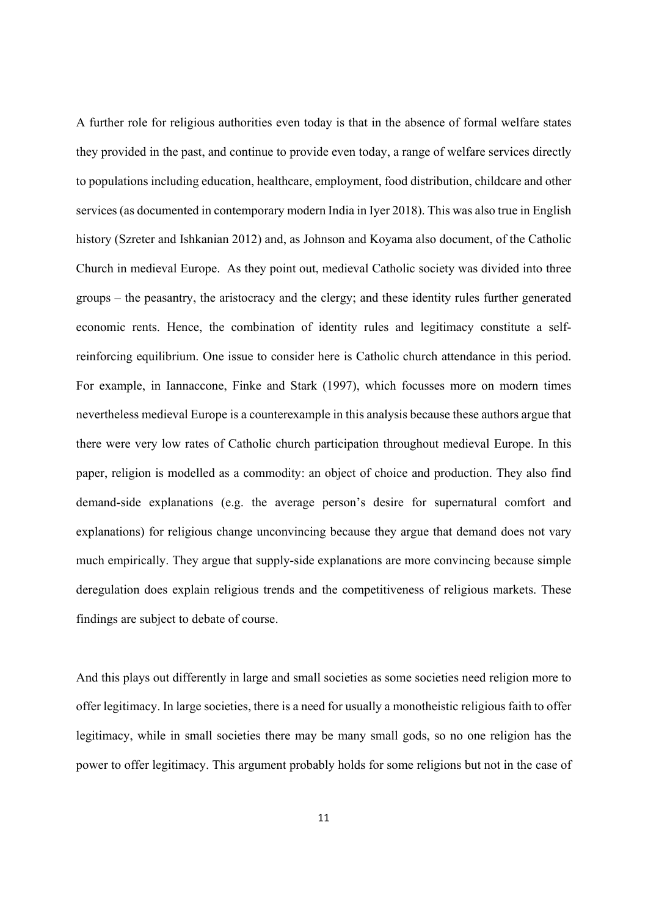A further role for religious authorities even today is that in the absence of formal welfare states they provided in the past, and continue to provide even today, a range of welfare services directly to populations including education, healthcare, employment, food distribution, childcare and other services (as documented in contemporary modern India in Iyer 2018). This was also true in English history (Szreter and Ishkanian 2012) and, as Johnson and Koyama also document, of the Catholic Church in medieval Europe. As they point out, medieval Catholic society was divided into three groups – the peasantry, the aristocracy and the clergy; and these identity rules further generated economic rents. Hence, the combination of identity rules and legitimacy constitute a selfreinforcing equilibrium. One issue to consider here is Catholic church attendance in this period. For example, in Iannaccone, Finke and Stark (1997), which focusses more on modern times nevertheless medieval Europe is a counterexample in this analysis because these authors argue that there were very low rates of Catholic church participation throughout medieval Europe. In this paper, religion is modelled as a commodity: an object of choice and production. They also find demand-side explanations (e.g. the average person's desire for supernatural comfort and explanations) for religious change unconvincing because they argue that demand does not vary much empirically. They argue that supply-side explanations are more convincing because simple deregulation does explain religious trends and the competitiveness of religious markets. These findings are subject to debate of course.

And this plays out differently in large and small societies as some societies need religion more to offer legitimacy. In large societies, there is a need for usually a monotheistic religious faith to offer legitimacy, while in small societies there may be many small gods, so no one religion has the power to offer legitimacy. This argument probably holds for some religions but not in the case of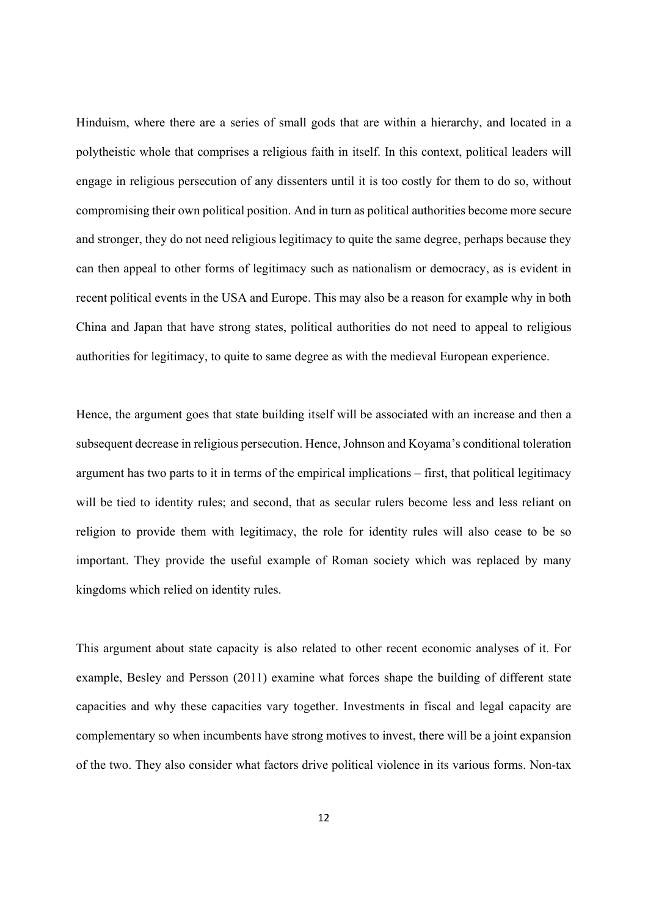Hinduism, where there are a series of small gods that are within a hierarchy, and located in a polytheistic whole that comprises a religious faith in itself. In this context, political leaders will engage in religious persecution of any dissenters until it is too costly for them to do so, without compromising their own political position. And in turn as political authorities become more secure and stronger, they do not need religious legitimacy to quite the same degree, perhaps because they can then appeal to other forms of legitimacy such as nationalism or democracy, as is evident in recent political events in the USA and Europe. This may also be a reason for example why in both China and Japan that have strong states, political authorities do not need to appeal to religious authorities for legitimacy, to quite to same degree as with the medieval European experience.

Hence, the argument goes that state building itself will be associated with an increase and then a subsequent decrease in religious persecution. Hence, Johnson and Koyama's conditional toleration argument has two parts to it in terms of the empirical implications – first, that political legitimacy will be tied to identity rules; and second, that as secular rulers become less and less reliant on religion to provide them with legitimacy, the role for identity rules will also cease to be so important. They provide the useful example of Roman society which was replaced by many kingdoms which relied on identity rules.

This argument about state capacity is also related to other recent economic analyses of it. For example, Besley and Persson (2011) examine what forces shape the building of different state capacities and why these capacities vary together. Investments in fiscal and legal capacity are complementary so when incumbents have strong motives to invest, there will be a joint expansion of the two. They also consider what factors drive political violence in its various forms. Non-tax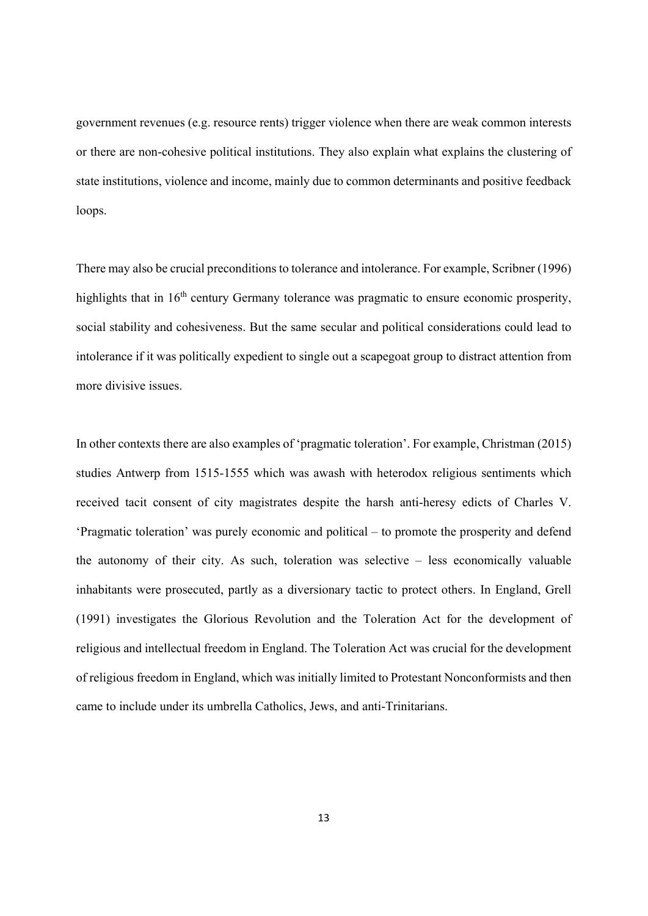government revenues (e.g. resource rents) trigger violence when there are weak common interests or there are non-cohesive political institutions. They also explain what explains the clustering of state institutions, violence and income, mainly due to common determinants and positive feedback loops.

There may also be crucial preconditions to tolerance and intolerance. For example, Scribner (1996) highlights that in 16<sup>th</sup> century Germany tolerance was pragmatic to ensure economic prosperity, social stability and cohesiveness. But the same secular and political considerations could lead to intolerance if it was politically expedient to single out a scapegoat group to distract attention from more divisive issues.

In other contexts there are also examples of 'pragmatic toleration'. For example, Christman (2015) studies Antwerp from 1515-1555 which was awash with heterodox religious sentiments which received tacit consent of city magistrates despite the harsh anti-heresy edicts of Charles V. 'Pragmatic toleration' was purely economic and political – to promote the prosperity and defend the autonomy of their city. As such, toleration was selective – less economically valuable inhabitants were prosecuted, partly as a diversionary tactic to protect others. In England, Grell (1991) investigates the Glorious Revolution and the Toleration Act for the development of religious and intellectual freedom in England. The Toleration Act was crucial for the development of religious freedom in England, which was initially limited to Protestant Nonconformists and then came to include under its umbrella Catholics, Jews, and anti-Trinitarians.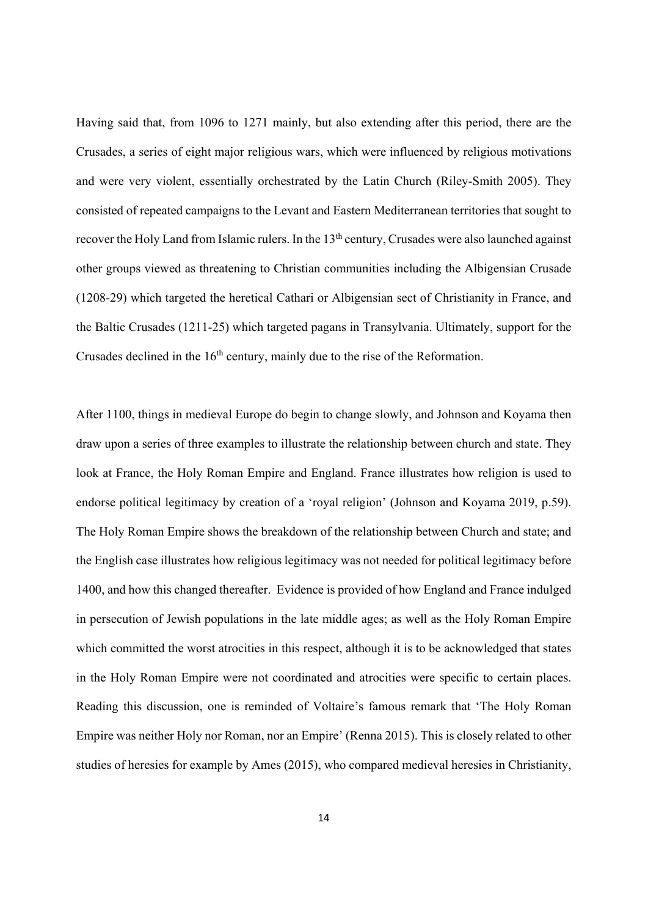Having said that, from 1096 to 1271 mainly, but also extending after this period, there are the Crusades, a series of eight major religious wars, which were influenced by religious motivations and were very violent, essentially orchestrated by the Latin Church (Riley-Smith 2005). They consisted of repeated campaigns to the Levant and Eastern Mediterranean territories that sought to recover the Holy Land from Islamic rulers. In the 13<sup>th</sup> century, Crusades were also launched against other groups viewed as threatening to Christian communities including the Albigensian Crusade (1208-29) which targeted the heretical Cathari or Albigensian sect of Christianity in France, and the Baltic Crusades (1211-25) which targeted pagans in Transylvania. Ultimately, support for the Crusades declined in the  $16<sup>th</sup>$  century, mainly due to the rise of the Reformation.

After 1100, things in medieval Europe do begin to change slowly, and Johnson and Koyama then draw upon a series of three examples to illustrate the relationship between church and state. They look at France, the Holy Roman Empire and England. France illustrates how religion is used to endorse political legitimacy by creation of a 'royal religion' (Johnson and Koyama 2019, p.59). The Holy Roman Empire shows the breakdown of the relationship between Church and state; and the English case illustrates how religious legitimacy was not needed for political legitimacy before 1400, and how this changed thereafter. Evidence is provided of how England and France indulged in persecution of Jewish populations in the late middle ages; as well as the Holy Roman Empire which committed the worst atrocities in this respect, although it is to be acknowledged that states in the Holy Roman Empire were not coordinated and atrocities were specific to certain places. Reading this discussion, one is reminded of Voltaire's famous remark that 'The Holy Roman Empire was neither Holy nor Roman, nor an Empire' (Renna 2015). This is closely related to other studies of heresies for example by Ames (2015), who compared medieval heresies in Christianity,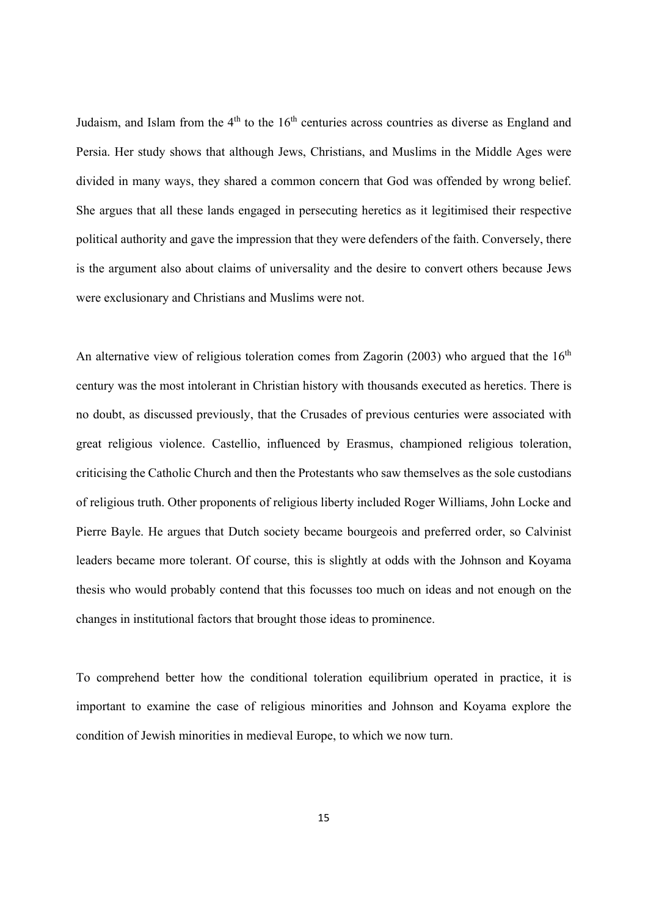Judaism, and Islam from the  $4<sup>th</sup>$  to the  $16<sup>th</sup>$  centuries across countries as diverse as England and Persia. Her study shows that although Jews, Christians, and Muslims in the Middle Ages were divided in many ways, they shared a common concern that God was offended by wrong belief. She argues that all these lands engaged in persecuting heretics as it legitimised their respective political authority and gave the impression that they were defenders of the faith. Conversely, there is the argument also about claims of universality and the desire to convert others because Jews were exclusionary and Christians and Muslims were not.

An alternative view of religious toleration comes from Zagorin (2003) who argued that the  $16<sup>th</sup>$ century was the most intolerant in Christian history with thousands executed as heretics. There is no doubt, as discussed previously, that the Crusades of previous centuries were associated with great religious violence. Castellio, influenced by Erasmus, championed religious toleration, criticising the Catholic Church and then the Protestants who saw themselves as the sole custodians of religious truth. Other proponents of religious liberty included Roger Williams, John Locke and Pierre Bayle. He argues that Dutch society became bourgeois and preferred order, so Calvinist leaders became more tolerant. Of course, this is slightly at odds with the Johnson and Koyama thesis who would probably contend that this focusses too much on ideas and not enough on the changes in institutional factors that brought those ideas to prominence.

To comprehend better how the conditional toleration equilibrium operated in practice, it is important to examine the case of religious minorities and Johnson and Koyama explore the condition of Jewish minorities in medieval Europe, to which we now turn.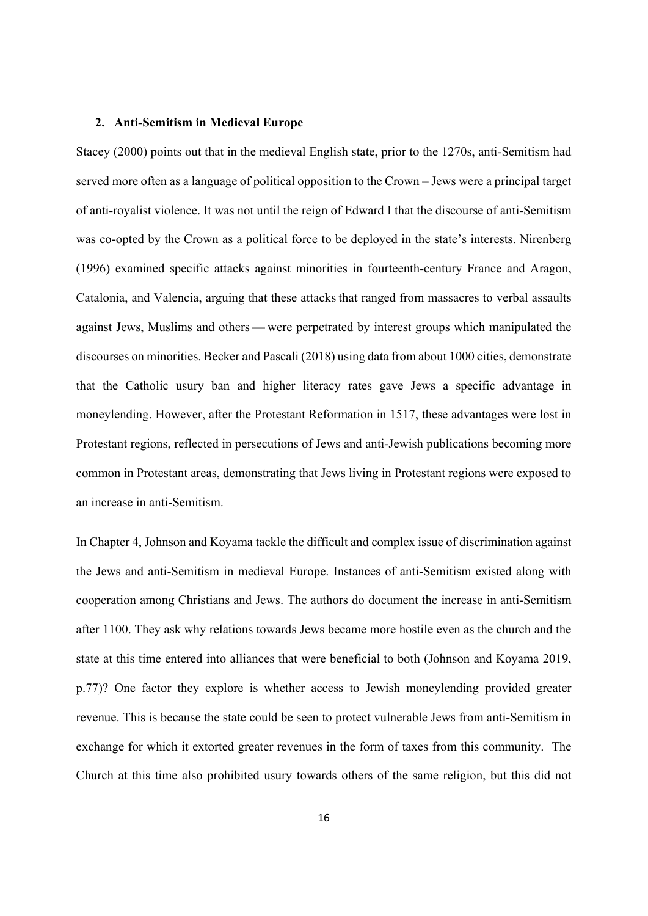#### **2. Anti-Semitism in Medieval Europe**

Stacey (2000) points out that in the medieval English state, prior to the 1270s, anti-Semitism had served more often as a language of political opposition to the Crown – Jews were a principal target of anti-royalist violence. It was not until the reign of Edward I that the discourse of anti-Semitism was co-opted by the Crown as a political force to be deployed in the state's interests. Nirenberg (1996) examined specific attacks against minorities in fourteenth-century France and Aragon, Catalonia, and Valencia, arguing that these attacks that ranged from massacres to verbal assaults against Jews, Muslims and others — were perpetrated by interest groups which manipulated the discourses on minorities. Becker and Pascali (2018) using data from about 1000 cities, demonstrate that the Catholic usury ban and higher literacy rates gave Jews a specific advantage in moneylending. However, after the Protestant Reformation in 1517, these advantages were lost in Protestant regions, reflected in persecutions of Jews and anti-Jewish publications becoming more common in Protestant areas, demonstrating that Jews living in Protestant regions were exposed to an increase in anti-Semitism.

In Chapter 4, Johnson and Koyama tackle the difficult and complex issue of discrimination against the Jews and anti-Semitism in medieval Europe. Instances of anti-Semitism existed along with cooperation among Christians and Jews. The authors do document the increase in anti-Semitism after 1100. They ask why relations towards Jews became more hostile even as the church and the state at this time entered into alliances that were beneficial to both (Johnson and Koyama 2019, p.77)? One factor they explore is whether access to Jewish moneylending provided greater revenue. This is because the state could be seen to protect vulnerable Jews from anti-Semitism in exchange for which it extorted greater revenues in the form of taxes from this community. The Church at this time also prohibited usury towards others of the same religion, but this did not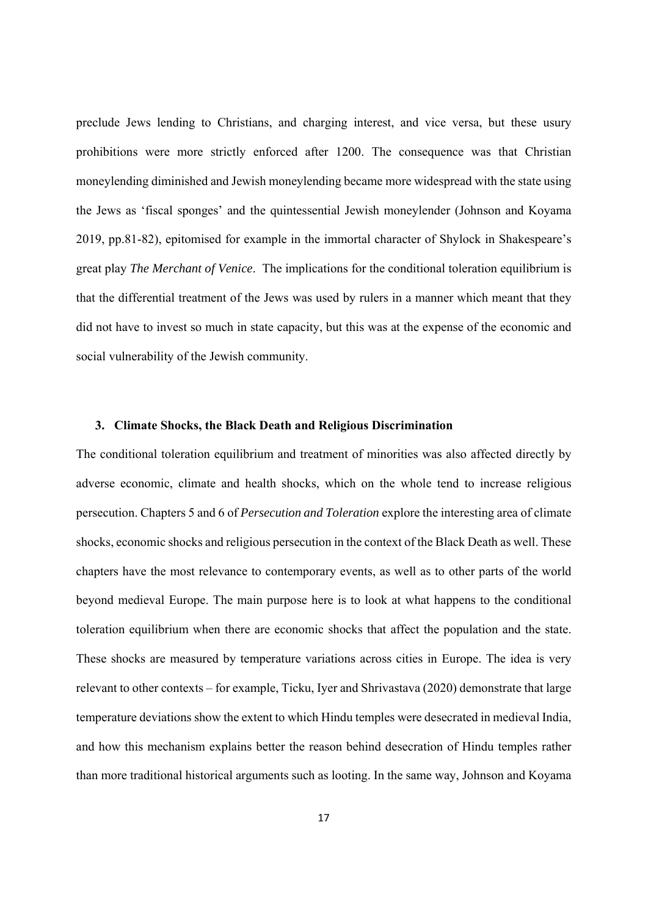preclude Jews lending to Christians, and charging interest, and vice versa, but these usury prohibitions were more strictly enforced after 1200. The consequence was that Christian moneylending diminished and Jewish moneylending became more widespread with the state using the Jews as 'fiscal sponges' and the quintessential Jewish moneylender (Johnson and Koyama 2019, pp.81-82), epitomised for example in the immortal character of Shylock in Shakespeare's great play *The Merchant of Venice*. The implications for the conditional toleration equilibrium is that the differential treatment of the Jews was used by rulers in a manner which meant that they did not have to invest so much in state capacity, but this was at the expense of the economic and social vulnerability of the Jewish community.

#### **3. Climate Shocks, the Black Death and Religious Discrimination**

The conditional toleration equilibrium and treatment of minorities was also affected directly by adverse economic, climate and health shocks, which on the whole tend to increase religious persecution. Chapters 5 and 6 of *Persecution and Toleration* explore the interesting area of climate shocks, economic shocks and religious persecution in the context of the Black Death as well. These chapters have the most relevance to contemporary events, as well as to other parts of the world beyond medieval Europe. The main purpose here is to look at what happens to the conditional toleration equilibrium when there are economic shocks that affect the population and the state. These shocks are measured by temperature variations across cities in Europe. The idea is very relevant to other contexts – for example, Ticku, Iyer and Shrivastava (2020) demonstrate that large temperature deviations show the extent to which Hindu temples were desecrated in medieval India, and how this mechanism explains better the reason behind desecration of Hindu temples rather than more traditional historical arguments such as looting. In the same way, Johnson and Koyama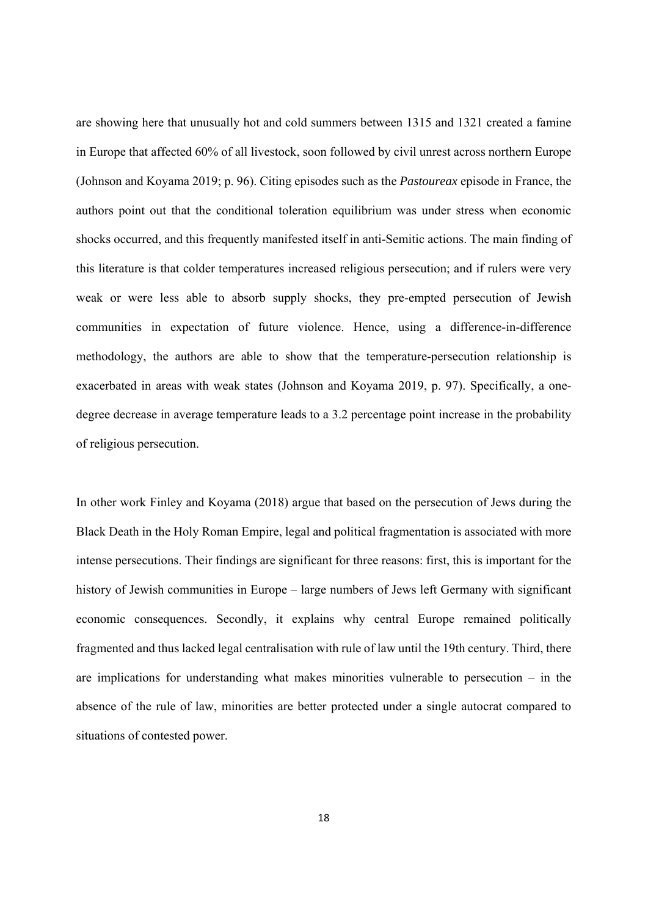are showing here that unusually hot and cold summers between 1315 and 1321 created a famine in Europe that affected 60% of all livestock, soon followed by civil unrest across northern Europe (Johnson and Koyama 2019; p. 96). Citing episodes such as the *Pastoureax* episode in France, the authors point out that the conditional toleration equilibrium was under stress when economic shocks occurred, and this frequently manifested itself in anti-Semitic actions. The main finding of this literature is that colder temperatures increased religious persecution; and if rulers were very weak or were less able to absorb supply shocks, they pre-empted persecution of Jewish communities in expectation of future violence. Hence, using a difference-in-difference methodology, the authors are able to show that the temperature-persecution relationship is exacerbated in areas with weak states (Johnson and Koyama 2019, p. 97). Specifically, a onedegree decrease in average temperature leads to a 3.2 percentage point increase in the probability of religious persecution.

In other work Finley and Koyama (2018) argue that based on the persecution of Jews during the Black Death in the Holy Roman Empire, legal and political fragmentation is associated with more intense persecutions. Their findings are significant for three reasons: first, this is important for the history of Jewish communities in Europe – large numbers of Jews left Germany with significant economic consequences. Secondly, it explains why central Europe remained politically fragmented and thus lacked legal centralisation with rule of law until the 19th century. Third, there are implications for understanding what makes minorities vulnerable to persecution – in the absence of the rule of law, minorities are better protected under a single autocrat compared to situations of contested power.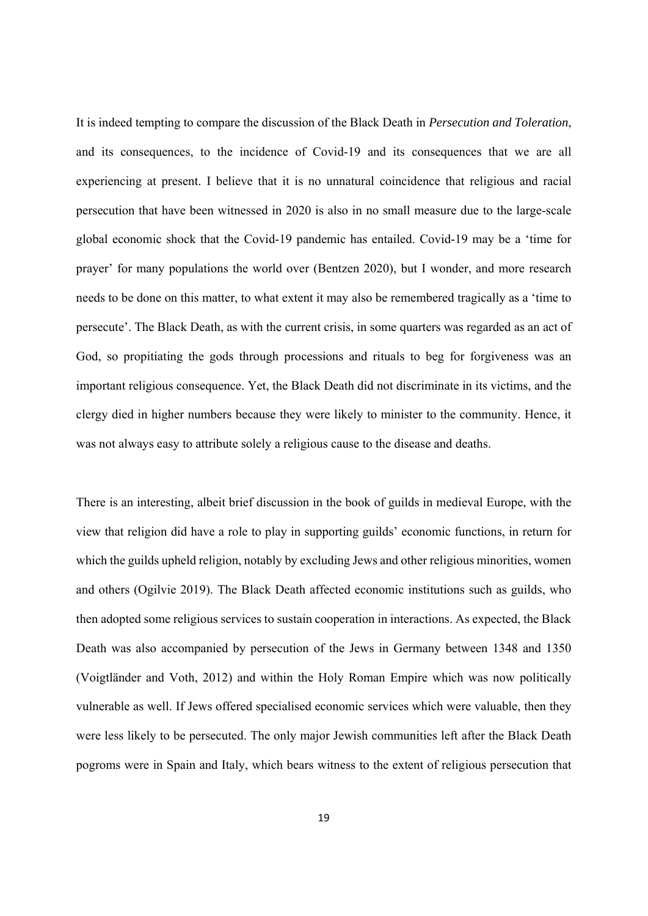It is indeed tempting to compare the discussion of the Black Death in *Persecution and Toleration*, and its consequences, to the incidence of Covid-19 and its consequences that we are all experiencing at present. I believe that it is no unnatural coincidence that religious and racial persecution that have been witnessed in 2020 is also in no small measure due to the large-scale global economic shock that the Covid-19 pandemic has entailed. Covid-19 may be a 'time for prayer' for many populations the world over (Bentzen 2020), but I wonder, and more research needs to be done on this matter, to what extent it may also be remembered tragically as a 'time to persecute'. The Black Death, as with the current crisis, in some quarters was regarded as an act of God, so propitiating the gods through processions and rituals to beg for forgiveness was an important religious consequence. Yet, the Black Death did not discriminate in its victims, and the clergy died in higher numbers because they were likely to minister to the community. Hence, it was not always easy to attribute solely a religious cause to the disease and deaths.

There is an interesting, albeit brief discussion in the book of guilds in medieval Europe, with the view that religion did have a role to play in supporting guilds' economic functions, in return for which the guilds upheld religion, notably by excluding Jews and other religious minorities, women and others (Ogilvie 2019). The Black Death affected economic institutions such as guilds, who then adopted some religious services to sustain cooperation in interactions. As expected, the Black Death was also accompanied by persecution of the Jews in Germany between 1348 and 1350 (Voigtländer and Voth, 2012) and within the Holy Roman Empire which was now politically vulnerable as well. If Jews offered specialised economic services which were valuable, then they were less likely to be persecuted. The only major Jewish communities left after the Black Death pogroms were in Spain and Italy, which bears witness to the extent of religious persecution that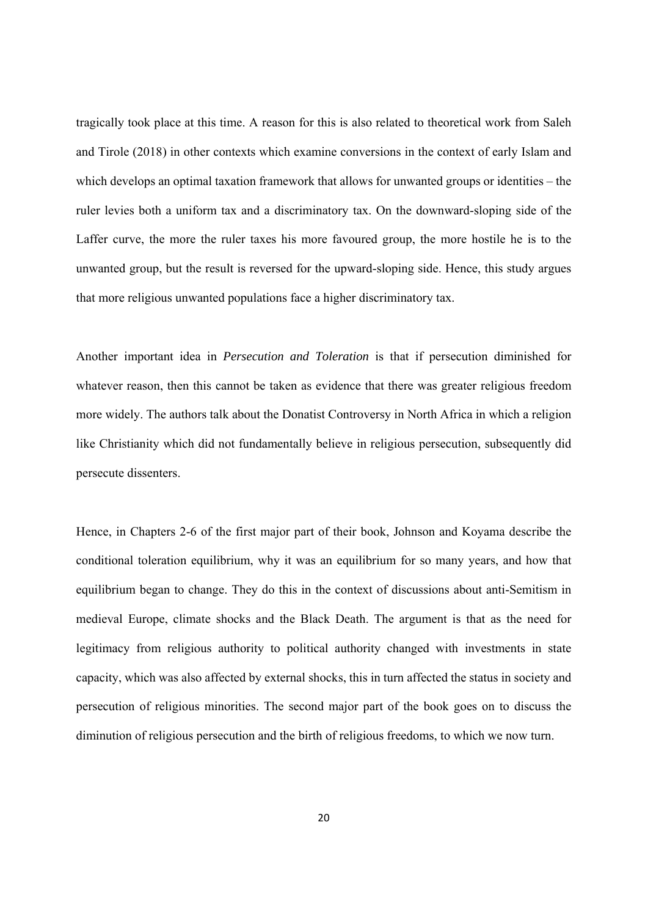tragically took place at this time. A reason for this is also related to theoretical work from Saleh and Tirole (2018) in other contexts which examine conversions in the context of early Islam and which develops an optimal taxation framework that allows for unwanted groups or identities – the ruler levies both a uniform tax and a discriminatory tax. On the downward-sloping side of the Laffer curve, the more the ruler taxes his more favoured group, the more hostile he is to the unwanted group, but the result is reversed for the upward-sloping side. Hence, this study argues that more religious unwanted populations face a higher discriminatory tax.

Another important idea in *Persecution and Toleration* is that if persecution diminished for whatever reason, then this cannot be taken as evidence that there was greater religious freedom more widely. The authors talk about the Donatist Controversy in North Africa in which a religion like Christianity which did not fundamentally believe in religious persecution, subsequently did persecute dissenters.

Hence, in Chapters 2-6 of the first major part of their book, Johnson and Koyama describe the conditional toleration equilibrium, why it was an equilibrium for so many years, and how that equilibrium began to change. They do this in the context of discussions about anti-Semitism in medieval Europe, climate shocks and the Black Death. The argument is that as the need for legitimacy from religious authority to political authority changed with investments in state capacity, which was also affected by external shocks, this in turn affected the status in society and persecution of religious minorities. The second major part of the book goes on to discuss the diminution of religious persecution and the birth of religious freedoms, to which we now turn.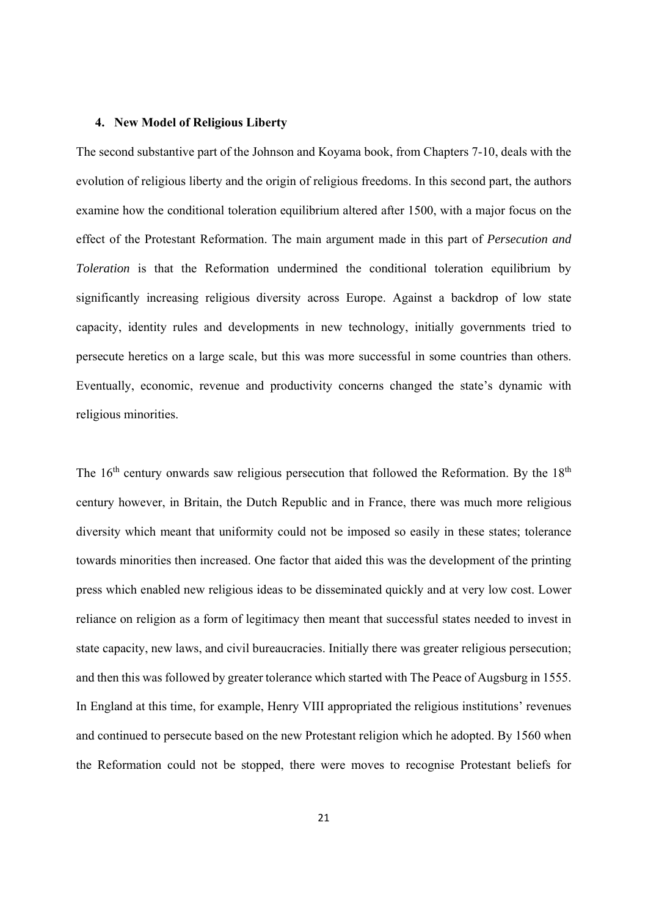#### **4. New Model of Religious Liberty**

The second substantive part of the Johnson and Koyama book, from Chapters 7-10, deals with the evolution of religious liberty and the origin of religious freedoms. In this second part, the authors examine how the conditional toleration equilibrium altered after 1500, with a major focus on the effect of the Protestant Reformation. The main argument made in this part of *Persecution and Toleration* is that the Reformation undermined the conditional toleration equilibrium by significantly increasing religious diversity across Europe. Against a backdrop of low state capacity, identity rules and developments in new technology, initially governments tried to persecute heretics on a large scale, but this was more successful in some countries than others. Eventually, economic, revenue and productivity concerns changed the state's dynamic with religious minorities.

The  $16<sup>th</sup>$  century onwards saw religious persecution that followed the Reformation. By the  $18<sup>th</sup>$ century however, in Britain, the Dutch Republic and in France, there was much more religious diversity which meant that uniformity could not be imposed so easily in these states; tolerance towards minorities then increased. One factor that aided this was the development of the printing press which enabled new religious ideas to be disseminated quickly and at very low cost. Lower reliance on religion as a form of legitimacy then meant that successful states needed to invest in state capacity, new laws, and civil bureaucracies. Initially there was greater religious persecution; and then this was followed by greater tolerance which started with The Peace of Augsburg in 1555. In England at this time, for example, Henry VIII appropriated the religious institutions' revenues and continued to persecute based on the new Protestant religion which he adopted. By 1560 when the Reformation could not be stopped, there were moves to recognise Protestant beliefs for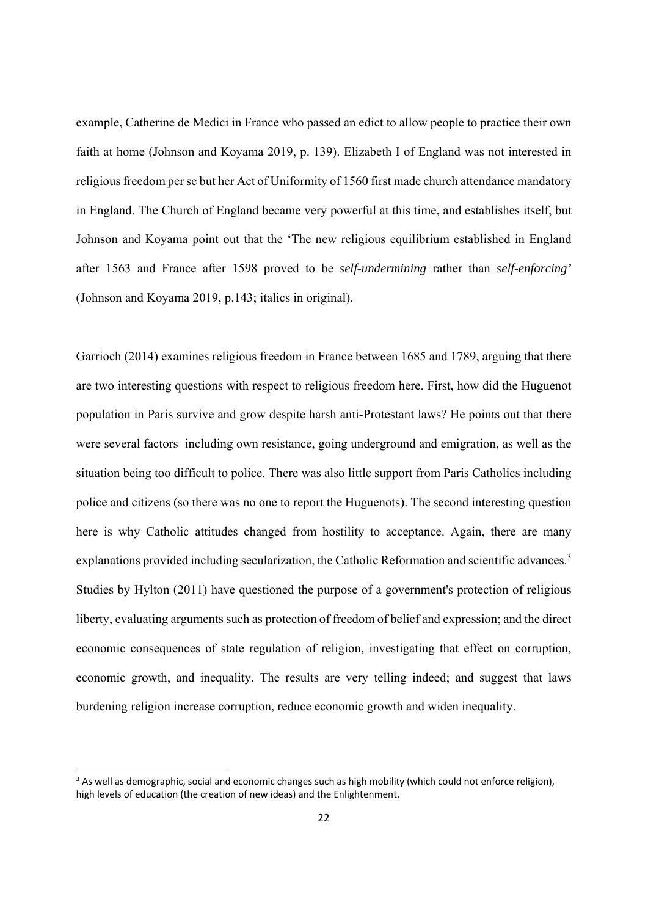example, Catherine de Medici in France who passed an edict to allow people to practice their own faith at home (Johnson and Koyama 2019, p. 139). Elizabeth I of England was not interested in religious freedom per se but her Act of Uniformity of 1560 first made church attendance mandatory in England. The Church of England became very powerful at this time, and establishes itself, but Johnson and Koyama point out that the 'The new religious equilibrium established in England after 1563 and France after 1598 proved to be *self-undermining* rather than *self-enforcing'* (Johnson and Koyama 2019, p.143; italics in original).

Garrioch (2014) examines religious freedom in France between 1685 and 1789, arguing that there are two interesting questions with respect to religious freedom here. First, how did the Huguenot population in Paris survive and grow despite harsh anti-Protestant laws? He points out that there were several factors including own resistance, going underground and emigration, as well as the situation being too difficult to police. There was also little support from Paris Catholics including police and citizens (so there was no one to report the Huguenots). The second interesting question here is why Catholic attitudes changed from hostility to acceptance. Again, there are many explanations provided including secularization, the Catholic Reformation and scientific advances.<sup>3</sup> Studies by Hylton (2011) have questioned the purpose of a government's protection of religious liberty, evaluating arguments such as protection of freedom of belief and expression; and the direct economic consequences of state regulation of religion, investigating that effect on corruption, economic growth, and inequality. The results are very telling indeed; and suggest that laws burdening religion increase corruption, reduce economic growth and widen inequality.

<sup>&</sup>lt;sup>3</sup> As well as demographic, social and economic changes such as high mobility (which could not enforce religion), high levels of education (the creation of new ideas) and the Enlightenment.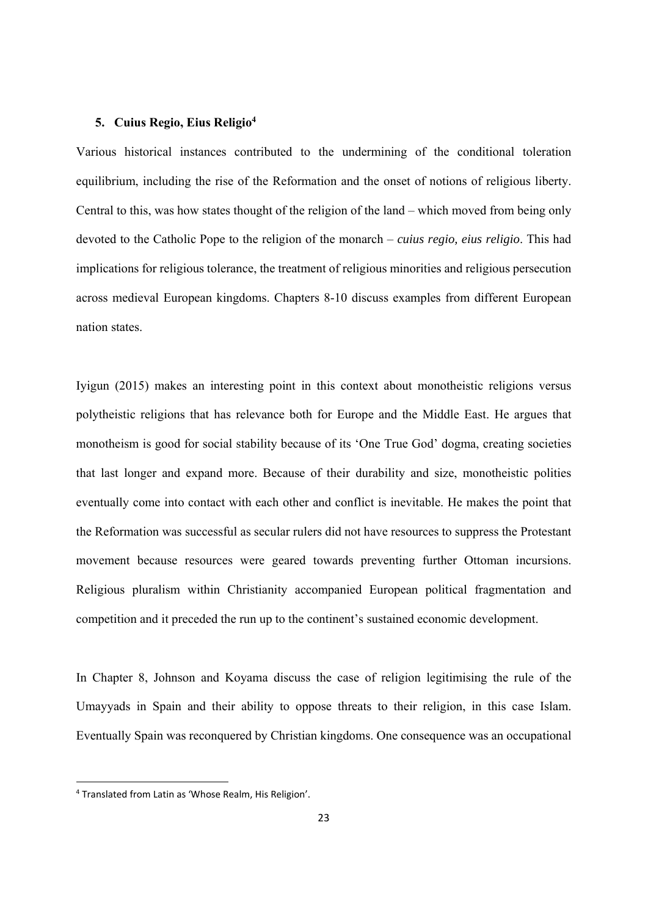#### **5. Cuius Regio, Eius Religio4**

Various historical instances contributed to the undermining of the conditional toleration equilibrium, including the rise of the Reformation and the onset of notions of religious liberty. Central to this, was how states thought of the religion of the land – which moved from being only devoted to the Catholic Pope to the religion of the monarch – *cuius regio, eius religio*. This had implications for religious tolerance, the treatment of religious minorities and religious persecution across medieval European kingdoms. Chapters 8-10 discuss examples from different European nation states.

Iyigun (2015) makes an interesting point in this context about monotheistic religions versus polytheistic religions that has relevance both for Europe and the Middle East. He argues that monotheism is good for social stability because of its 'One True God' dogma, creating societies that last longer and expand more. Because of their durability and size, monotheistic polities eventually come into contact with each other and conflict is inevitable. He makes the point that the Reformation was successful as secular rulers did not have resources to suppress the Protestant movement because resources were geared towards preventing further Ottoman incursions. Religious pluralism within Christianity accompanied European political fragmentation and competition and it preceded the run up to the continent's sustained economic development.

In Chapter 8, Johnson and Koyama discuss the case of religion legitimising the rule of the Umayyads in Spain and their ability to oppose threats to their religion, in this case Islam. Eventually Spain was reconquered by Christian kingdoms. One consequence was an occupational

<sup>4</sup> Translated from Latin as 'Whose Realm, His Religion'.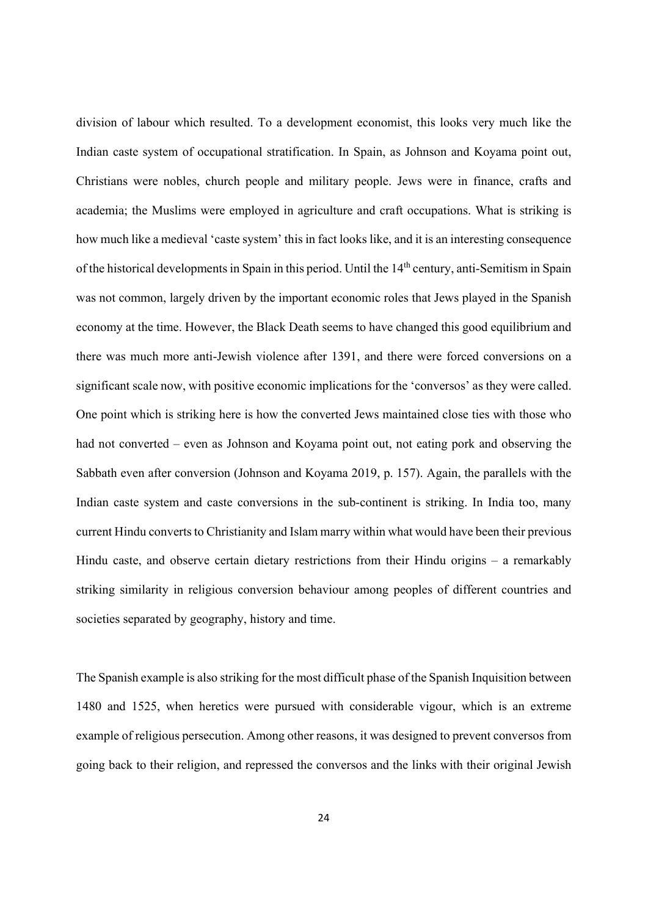division of labour which resulted. To a development economist, this looks very much like the Indian caste system of occupational stratification. In Spain, as Johnson and Koyama point out, Christians were nobles, church people and military people. Jews were in finance, crafts and academia; the Muslims were employed in agriculture and craft occupations. What is striking is how much like a medieval 'caste system' this in fact looks like, and it is an interesting consequence of the historical developments in Spain in this period. Until the 14th century, anti-Semitism in Spain was not common, largely driven by the important economic roles that Jews played in the Spanish economy at the time. However, the Black Death seems to have changed this good equilibrium and there was much more anti-Jewish violence after 1391, and there were forced conversions on a significant scale now, with positive economic implications for the 'conversos' as they were called. One point which is striking here is how the converted Jews maintained close ties with those who had not converted – even as Johnson and Koyama point out, not eating pork and observing the Sabbath even after conversion (Johnson and Koyama 2019, p. 157). Again, the parallels with the Indian caste system and caste conversions in the sub-continent is striking. In India too, many current Hindu converts to Christianity and Islam marry within what would have been their previous Hindu caste, and observe certain dietary restrictions from their Hindu origins – a remarkably striking similarity in religious conversion behaviour among peoples of different countries and societies separated by geography, history and time.

The Spanish example is also striking for the most difficult phase of the Spanish Inquisition between 1480 and 1525, when heretics were pursued with considerable vigour, which is an extreme example of religious persecution. Among other reasons, it was designed to prevent conversos from going back to their religion, and repressed the conversos and the links with their original Jewish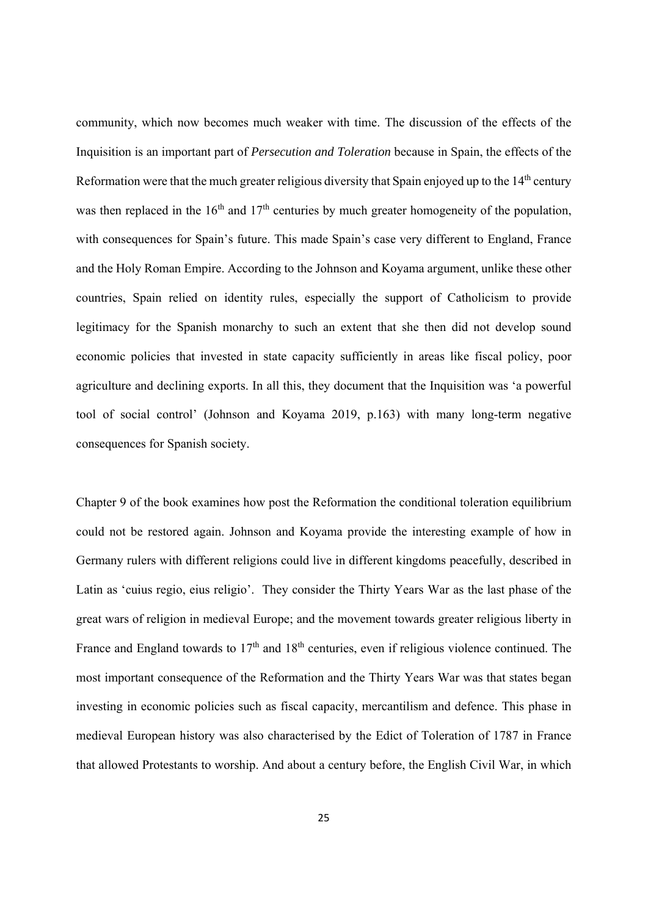community, which now becomes much weaker with time. The discussion of the effects of the Inquisition is an important part of *Persecution and Toleration* because in Spain, the effects of the Reformation were that the much greater religious diversity that Spain enjoyed up to the  $14<sup>th</sup>$  century was then replaced in the  $16<sup>th</sup>$  and  $17<sup>th</sup>$  centuries by much greater homogeneity of the population, with consequences for Spain's future. This made Spain's case very different to England, France and the Holy Roman Empire. According to the Johnson and Koyama argument, unlike these other countries, Spain relied on identity rules, especially the support of Catholicism to provide legitimacy for the Spanish monarchy to such an extent that she then did not develop sound economic policies that invested in state capacity sufficiently in areas like fiscal policy, poor agriculture and declining exports. In all this, they document that the Inquisition was 'a powerful tool of social control' (Johnson and Koyama 2019, p.163) with many long-term negative consequences for Spanish society.

Chapter 9 of the book examines how post the Reformation the conditional toleration equilibrium could not be restored again. Johnson and Koyama provide the interesting example of how in Germany rulers with different religions could live in different kingdoms peacefully, described in Latin as 'cuius regio, eius religio'. They consider the Thirty Years War as the last phase of the great wars of religion in medieval Europe; and the movement towards greater religious liberty in France and England towards to  $17<sup>th</sup>$  and  $18<sup>th</sup>$  centuries, even if religious violence continued. The most important consequence of the Reformation and the Thirty Years War was that states began investing in economic policies such as fiscal capacity, mercantilism and defence. This phase in medieval European history was also characterised by the Edict of Toleration of 1787 in France that allowed Protestants to worship. And about a century before, the English Civil War, in which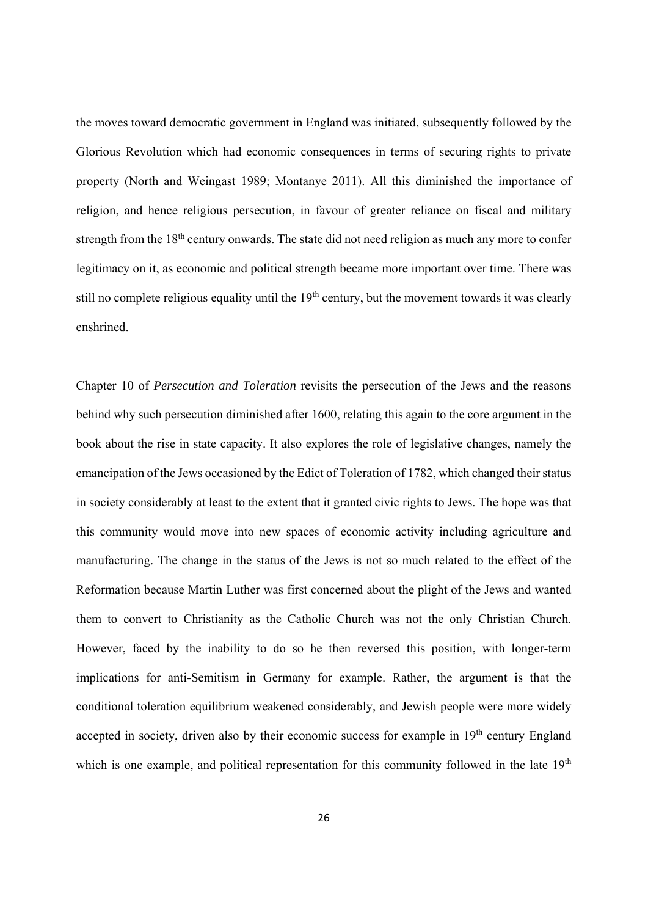the moves toward democratic government in England was initiated, subsequently followed by the Glorious Revolution which had economic consequences in terms of securing rights to private property (North and Weingast 1989; Montanye 2011). All this diminished the importance of religion, and hence religious persecution, in favour of greater reliance on fiscal and military strength from the 18<sup>th</sup> century onwards. The state did not need religion as much any more to confer legitimacy on it, as economic and political strength became more important over time. There was still no complete religious equality until the 19<sup>th</sup> century, but the movement towards it was clearly enshrined.

Chapter 10 of *Persecution and Toleration* revisits the persecution of the Jews and the reasons behind why such persecution diminished after 1600, relating this again to the core argument in the book about the rise in state capacity. It also explores the role of legislative changes, namely the emancipation of the Jews occasioned by the Edict of Toleration of 1782, which changed their status in society considerably at least to the extent that it granted civic rights to Jews. The hope was that this community would move into new spaces of economic activity including agriculture and manufacturing. The change in the status of the Jews is not so much related to the effect of the Reformation because Martin Luther was first concerned about the plight of the Jews and wanted them to convert to Christianity as the Catholic Church was not the only Christian Church. However, faced by the inability to do so he then reversed this position, with longer-term implications for anti-Semitism in Germany for example. Rather, the argument is that the conditional toleration equilibrium weakened considerably, and Jewish people were more widely accepted in society, driven also by their economic success for example in 19th century England which is one example, and political representation for this community followed in the late 19<sup>th</sup>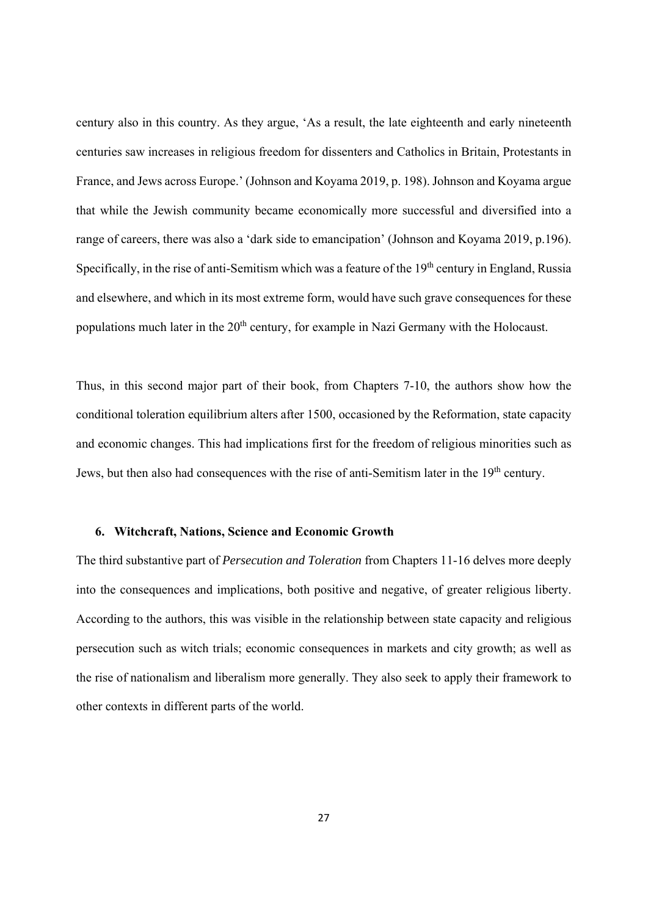century also in this country. As they argue, 'As a result, the late eighteenth and early nineteenth centuries saw increases in religious freedom for dissenters and Catholics in Britain, Protestants in France, and Jews across Europe.' (Johnson and Koyama 2019, p. 198). Johnson and Koyama argue that while the Jewish community became economically more successful and diversified into a range of careers, there was also a 'dark side to emancipation' (Johnson and Koyama 2019, p.196). Specifically, in the rise of anti-Semitism which was a feature of the 19<sup>th</sup> century in England, Russia and elsewhere, and which in its most extreme form, would have such grave consequences for these populations much later in the  $20<sup>th</sup>$  century, for example in Nazi Germany with the Holocaust.

Thus, in this second major part of their book, from Chapters 7-10, the authors show how the conditional toleration equilibrium alters after 1500, occasioned by the Reformation, state capacity and economic changes. This had implications first for the freedom of religious minorities such as Jews, but then also had consequences with the rise of anti-Semitism later in the 19<sup>th</sup> century.

#### **6. Witchcraft, Nations, Science and Economic Growth**

The third substantive part of *Persecution and Toleration* from Chapters 11-16 delves more deeply into the consequences and implications, both positive and negative, of greater religious liberty. According to the authors, this was visible in the relationship between state capacity and religious persecution such as witch trials; economic consequences in markets and city growth; as well as the rise of nationalism and liberalism more generally. They also seek to apply their framework to other contexts in different parts of the world.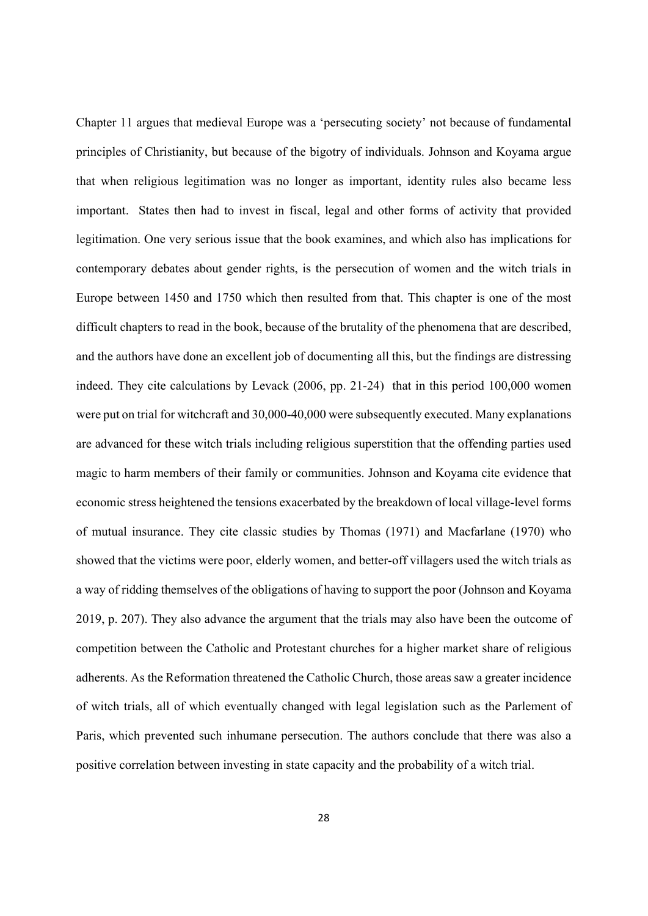Chapter 11 argues that medieval Europe was a 'persecuting society' not because of fundamental principles of Christianity, but because of the bigotry of individuals. Johnson and Koyama argue that when religious legitimation was no longer as important, identity rules also became less important. States then had to invest in fiscal, legal and other forms of activity that provided legitimation. One very serious issue that the book examines, and which also has implications for contemporary debates about gender rights, is the persecution of women and the witch trials in Europe between 1450 and 1750 which then resulted from that. This chapter is one of the most difficult chapters to read in the book, because of the brutality of the phenomena that are described, and the authors have done an excellent job of documenting all this, but the findings are distressing indeed. They cite calculations by Levack (2006, pp. 21-24) that in this period 100,000 women were put on trial for witchcraft and 30,000-40,000 were subsequently executed. Many explanations are advanced for these witch trials including religious superstition that the offending parties used magic to harm members of their family or communities. Johnson and Koyama cite evidence that economic stress heightened the tensions exacerbated by the breakdown of local village-level forms of mutual insurance. They cite classic studies by Thomas (1971) and Macfarlane (1970) who showed that the victims were poor, elderly women, and better-off villagers used the witch trials as a way of ridding themselves of the obligations of having to support the poor (Johnson and Koyama 2019, p. 207). They also advance the argument that the trials may also have been the outcome of competition between the Catholic and Protestant churches for a higher market share of religious adherents. As the Reformation threatened the Catholic Church, those areas saw a greater incidence of witch trials, all of which eventually changed with legal legislation such as the Parlement of Paris, which prevented such inhumane persecution. The authors conclude that there was also a positive correlation between investing in state capacity and the probability of a witch trial.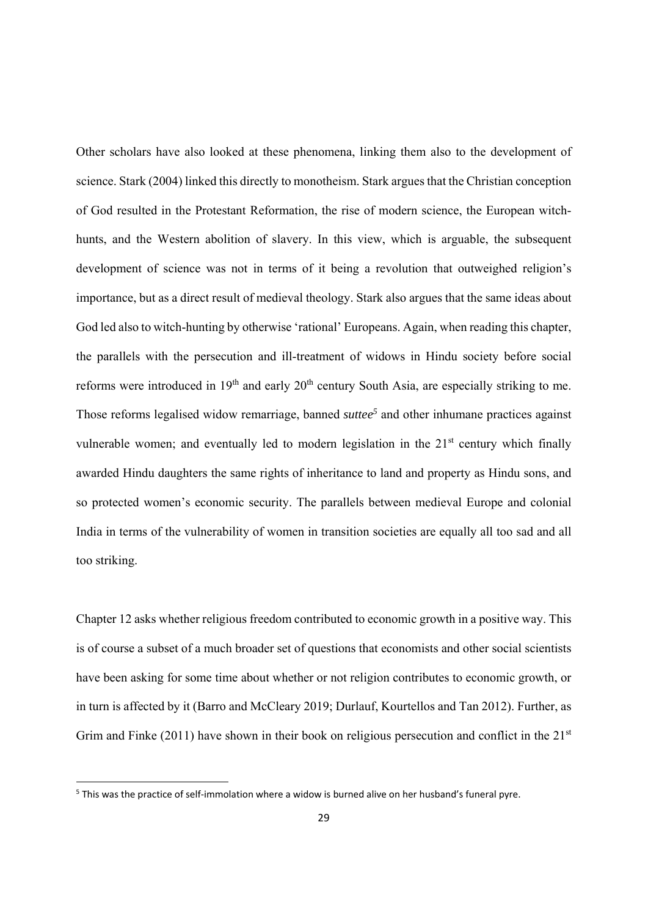Other scholars have also looked at these phenomena, linking them also to the development of science. Stark (2004) linked this directly to monotheism. Stark argues that the Christian conception of God resulted in the Protestant Reformation, the rise of modern science, the European witchhunts, and the Western abolition of slavery. In this view, which is arguable, the subsequent development of science was not in terms of it being a revolution that outweighed religion's importance, but as a direct result of medieval theology. Stark also argues that the same ideas about God led also to witch-hunting by otherwise 'rational' Europeans. Again, when reading this chapter, the parallels with the persecution and ill-treatment of widows in Hindu society before social reforms were introduced in 19<sup>th</sup> and early 20<sup>th</sup> century South Asia, are especially striking to me. Those reforms legalised widow remarriage, banned *suttee*<sup>5</sup> and other inhumane practices against vulnerable women; and eventually led to modern legislation in the  $21<sup>st</sup>$  century which finally awarded Hindu daughters the same rights of inheritance to land and property as Hindu sons, and so protected women's economic security. The parallels between medieval Europe and colonial India in terms of the vulnerability of women in transition societies are equally all too sad and all too striking.

Chapter 12 asks whether religious freedom contributed to economic growth in a positive way. This is of course a subset of a much broader set of questions that economists and other social scientists have been asking for some time about whether or not religion contributes to economic growth, or in turn is affected by it (Barro and McCleary 2019; Durlauf, Kourtellos and Tan 2012). Further, as Grim and Finke (2011) have shown in their book on religious persecution and conflict in the 21<sup>st</sup>

<sup>&</sup>lt;sup>5</sup> This was the practice of self-immolation where a widow is burned alive on her husband's funeral pyre.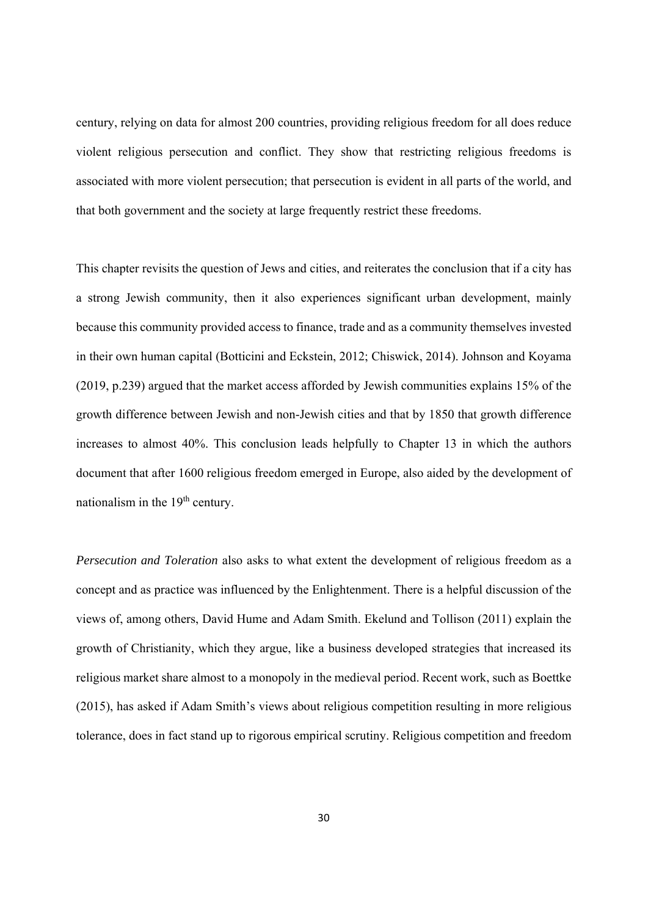century, relying on data for almost 200 countries, providing religious freedom for all does reduce violent religious persecution and conflict. They show that restricting religious freedoms is associated with more violent persecution; that persecution is evident in all parts of the world, and that both government and the society at large frequently restrict these freedoms.

This chapter revisits the question of Jews and cities, and reiterates the conclusion that if a city has a strong Jewish community, then it also experiences significant urban development, mainly because this community provided access to finance, trade and as a community themselves invested in their own human capital (Botticini and Eckstein, 2012; Chiswick, 2014). Johnson and Koyama (2019, p.239) argued that the market access afforded by Jewish communities explains 15% of the growth difference between Jewish and non-Jewish cities and that by 1850 that growth difference increases to almost 40%. This conclusion leads helpfully to Chapter 13 in which the authors document that after 1600 religious freedom emerged in Europe, also aided by the development of nationalism in the 19<sup>th</sup> century.

*Persecution and Toleration* also asks to what extent the development of religious freedom as a concept and as practice was influenced by the Enlightenment. There is a helpful discussion of the views of, among others, David Hume and Adam Smith. Ekelund and Tollison (2011) explain the growth of Christianity, which they argue, like a business developed strategies that increased its religious market share almost to a monopoly in the medieval period. Recent work, such as Boettke (2015), has asked if Adam Smith's views about religious competition resulting in more religious tolerance, does in fact stand up to rigorous empirical scrutiny. Religious competition and freedom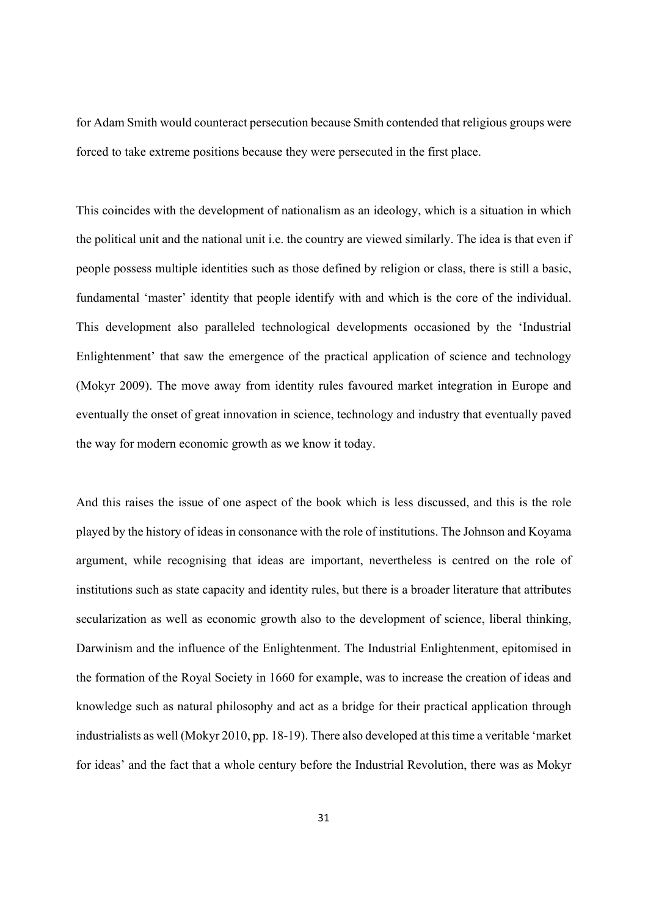for Adam Smith would counteract persecution because Smith contended that religious groups were forced to take extreme positions because they were persecuted in the first place.

This coincides with the development of nationalism as an ideology, which is a situation in which the political unit and the national unit i.e. the country are viewed similarly. The idea is that even if people possess multiple identities such as those defined by religion or class, there is still a basic, fundamental 'master' identity that people identify with and which is the core of the individual. This development also paralleled technological developments occasioned by the 'Industrial Enlightenment' that saw the emergence of the practical application of science and technology (Mokyr 2009). The move away from identity rules favoured market integration in Europe and eventually the onset of great innovation in science, technology and industry that eventually paved the way for modern economic growth as we know it today.

And this raises the issue of one aspect of the book which is less discussed, and this is the role played by the history of ideas in consonance with the role of institutions. The Johnson and Koyama argument, while recognising that ideas are important, nevertheless is centred on the role of institutions such as state capacity and identity rules, but there is a broader literature that attributes secularization as well as economic growth also to the development of science, liberal thinking, Darwinism and the influence of the Enlightenment. The Industrial Enlightenment, epitomised in the formation of the Royal Society in 1660 for example, was to increase the creation of ideas and knowledge such as natural philosophy and act as a bridge for their practical application through industrialists as well (Mokyr 2010, pp. 18-19). There also developed at this time a veritable 'market for ideas' and the fact that a whole century before the Industrial Revolution, there was as Mokyr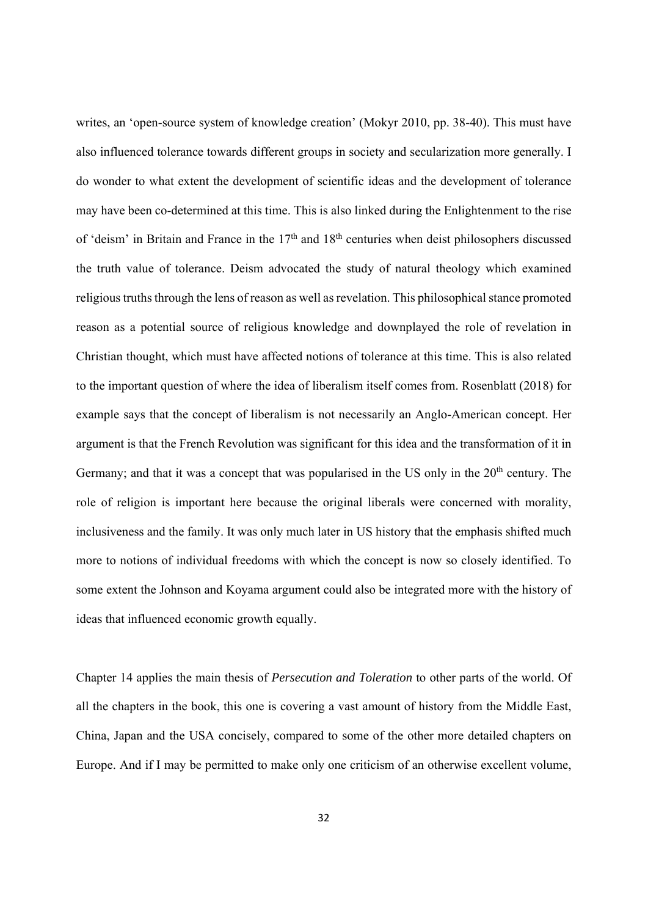writes, an 'open-source system of knowledge creation' (Mokyr 2010, pp. 38-40). This must have also influenced tolerance towards different groups in society and secularization more generally. I do wonder to what extent the development of scientific ideas and the development of tolerance may have been co-determined at this time. This is also linked during the Enlightenment to the rise of 'deism' in Britain and France in the 17<sup>th</sup> and 18<sup>th</sup> centuries when deist philosophers discussed the truth value of tolerance. Deism advocated the study of natural theology which examined religious truths through the lens of reason as well as revelation. This philosophical stance promoted reason as a potential source of religious knowledge and downplayed the role of revelation in Christian thought, which must have affected notions of tolerance at this time. This is also related to the important question of where the idea of liberalism itself comes from. Rosenblatt (2018) for example says that the concept of liberalism is not necessarily an Anglo-American concept. Her argument is that the French Revolution was significant for this idea and the transformation of it in Germany; and that it was a concept that was popularised in the US only in the  $20<sup>th</sup>$  century. The role of religion is important here because the original liberals were concerned with morality, inclusiveness and the family. It was only much later in US history that the emphasis shifted much more to notions of individual freedoms with which the concept is now so closely identified. To some extent the Johnson and Koyama argument could also be integrated more with the history of ideas that influenced economic growth equally.

Chapter 14 applies the main thesis of *Persecution and Toleration* to other parts of the world. Of all the chapters in the book, this one is covering a vast amount of history from the Middle East, China, Japan and the USA concisely, compared to some of the other more detailed chapters on Europe. And if I may be permitted to make only one criticism of an otherwise excellent volume,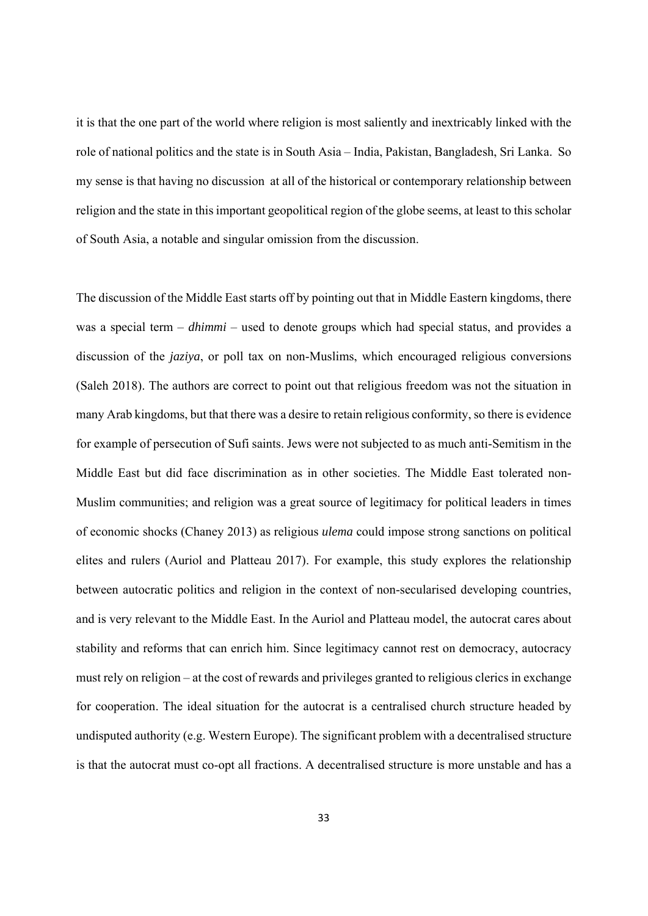it is that the one part of the world where religion is most saliently and inextricably linked with the role of national politics and the state is in South Asia – India, Pakistan, Bangladesh, Sri Lanka. So my sense is that having no discussion at all of the historical or contemporary relationship between religion and the state in this important geopolitical region of the globe seems, at least to this scholar of South Asia, a notable and singular omission from the discussion.

The discussion of the Middle East starts off by pointing out that in Middle Eastern kingdoms, there was a special term – *dhimmi* – used to denote groups which had special status, and provides a discussion of the *jaziya*, or poll tax on non-Muslims, which encouraged religious conversions (Saleh 2018). The authors are correct to point out that religious freedom was not the situation in many Arab kingdoms, but that there was a desire to retain religious conformity, so there is evidence for example of persecution of Sufi saints. Jews were not subjected to as much anti-Semitism in the Middle East but did face discrimination as in other societies. The Middle East tolerated non-Muslim communities; and religion was a great source of legitimacy for political leaders in times of economic shocks (Chaney 2013) as religious *ulema* could impose strong sanctions on political elites and rulers (Auriol and Platteau 2017). For example, this study explores the relationship between autocratic politics and religion in the context of non-secularised developing countries, and is very relevant to the Middle East. In the Auriol and Platteau model, the autocrat cares about stability and reforms that can enrich him. Since legitimacy cannot rest on democracy, autocracy must rely on religion – at the cost of rewards and privileges granted to religious clerics in exchange for cooperation. The ideal situation for the autocrat is a centralised church structure headed by undisputed authority (e.g. Western Europe). The significant problem with a decentralised structure is that the autocrat must co-opt all fractions. A decentralised structure is more unstable and has a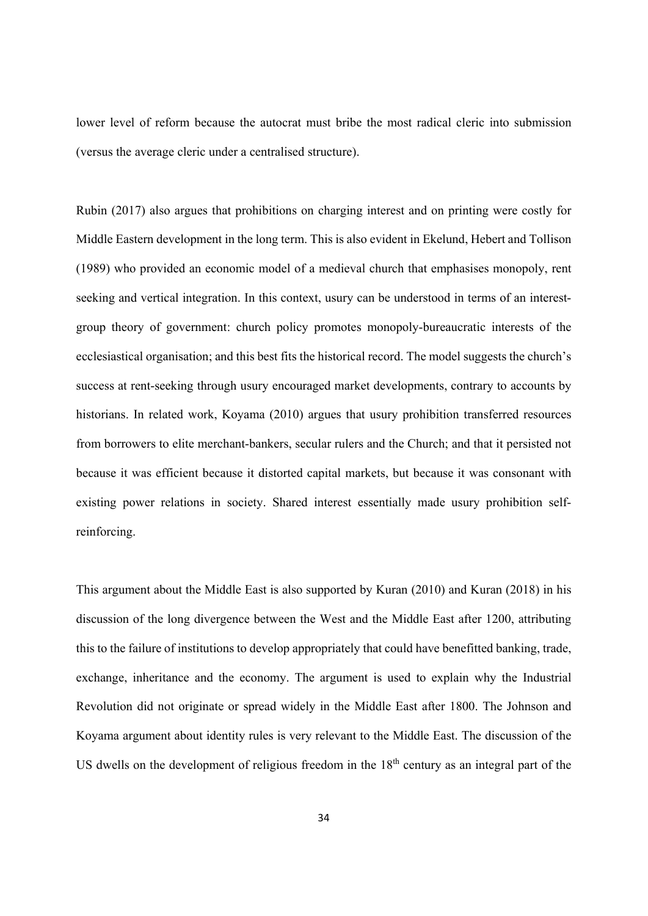lower level of reform because the autocrat must bribe the most radical cleric into submission (versus the average cleric under a centralised structure).

Rubin (2017) also argues that prohibitions on charging interest and on printing were costly for Middle Eastern development in the long term. This is also evident in Ekelund, Hebert and Tollison (1989) who provided an economic model of a medieval church that emphasises monopoly, rent seeking and vertical integration. In this context, usury can be understood in terms of an interestgroup theory of government: church policy promotes monopoly-bureaucratic interests of the ecclesiastical organisation; and this best fits the historical record. The model suggests the church's success at rent-seeking through usury encouraged market developments, contrary to accounts by historians. In related work, Koyama (2010) argues that usury prohibition transferred resources from borrowers to elite merchant-bankers, secular rulers and the Church; and that it persisted not because it was efficient because it distorted capital markets, but because it was consonant with existing power relations in society. Shared interest essentially made usury prohibition selfreinforcing.

This argument about the Middle East is also supported by Kuran (2010) and Kuran (2018) in his discussion of the long divergence between the West and the Middle East after 1200, attributing this to the failure of institutions to develop appropriately that could have benefitted banking, trade, exchange, inheritance and the economy. The argument is used to explain why the Industrial Revolution did not originate or spread widely in the Middle East after 1800. The Johnson and Koyama argument about identity rules is very relevant to the Middle East. The discussion of the US dwells on the development of religious freedom in the  $18<sup>th</sup>$  century as an integral part of the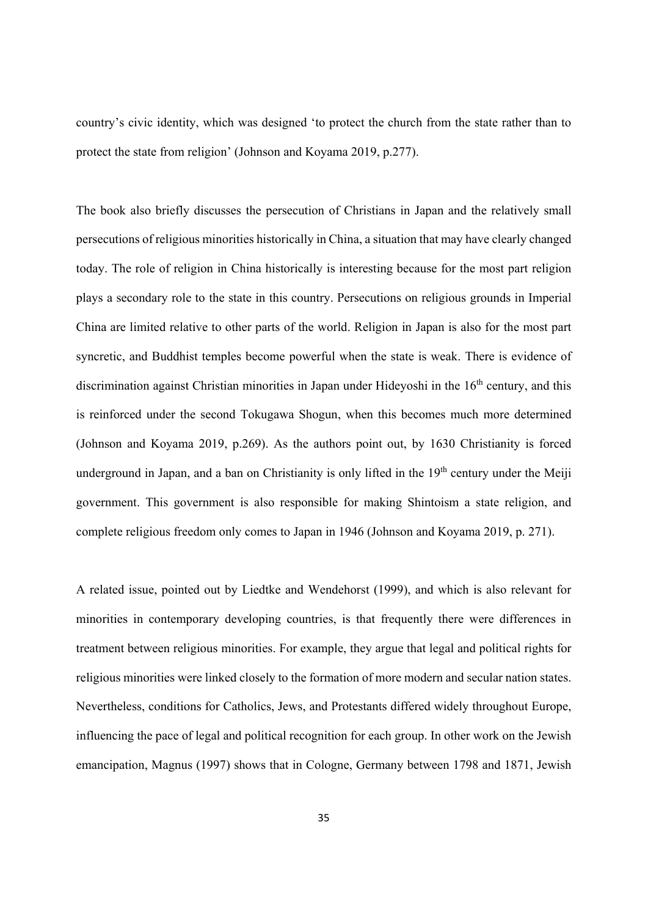country's civic identity, which was designed 'to protect the church from the state rather than to protect the state from religion' (Johnson and Koyama 2019, p.277).

The book also briefly discusses the persecution of Christians in Japan and the relatively small persecutions of religious minorities historically in China, a situation that may have clearly changed today. The role of religion in China historically is interesting because for the most part religion plays a secondary role to the state in this country. Persecutions on religious grounds in Imperial China are limited relative to other parts of the world. Religion in Japan is also for the most part syncretic, and Buddhist temples become powerful when the state is weak. There is evidence of discrimination against Christian minorities in Japan under Hideyoshi in the 16<sup>th</sup> century, and this is reinforced under the second Tokugawa Shogun, when this becomes much more determined (Johnson and Koyama 2019, p.269). As the authors point out, by 1630 Christianity is forced underground in Japan, and a ban on Christianity is only lifted in the  $19<sup>th</sup>$  century under the Meiji government. This government is also responsible for making Shintoism a state religion, and complete religious freedom only comes to Japan in 1946 (Johnson and Koyama 2019, p. 271).

A related issue, pointed out by Liedtke and Wendehorst (1999), and which is also relevant for minorities in contemporary developing countries, is that frequently there were differences in treatment between religious minorities. For example, they argue that legal and political rights for religious minorities were linked closely to the formation of more modern and secular nation states. Nevertheless, conditions for Catholics, Jews, and Protestants differed widely throughout Europe, influencing the pace of legal and political recognition for each group. In other work on the Jewish emancipation, Magnus (1997) shows that in Cologne, Germany between 1798 and 1871, Jewish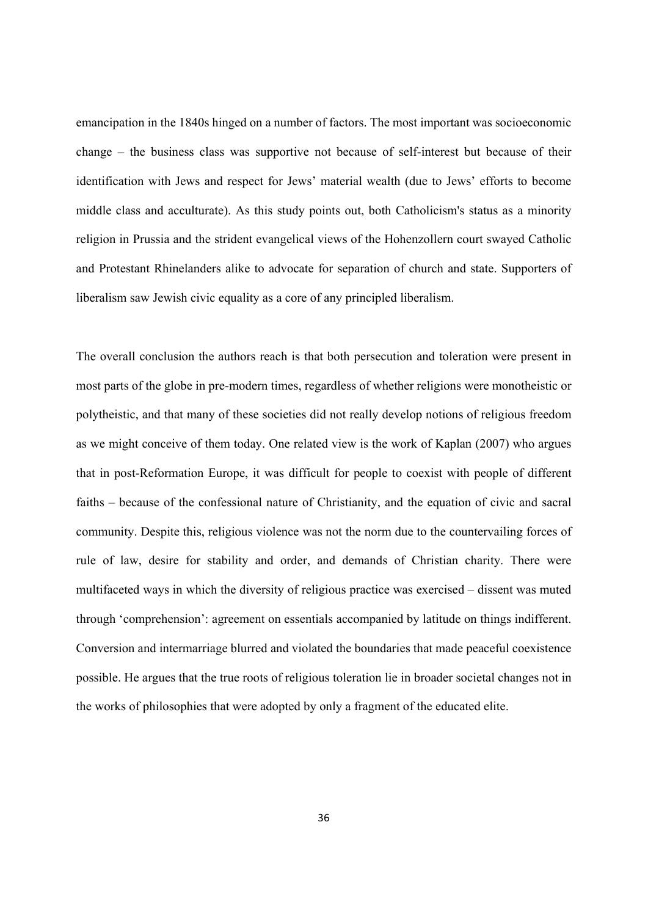emancipation in the 1840s hinged on a number of factors. The most important was socioeconomic change – the business class was supportive not because of self-interest but because of their identification with Jews and respect for Jews' material wealth (due to Jews' efforts to become middle class and acculturate). As this study points out, both Catholicism's status as a minority religion in Prussia and the strident evangelical views of the Hohenzollern court swayed Catholic and Protestant Rhinelanders alike to advocate for separation of church and state. Supporters of liberalism saw Jewish civic equality as a core of any principled liberalism.

The overall conclusion the authors reach is that both persecution and toleration were present in most parts of the globe in pre-modern times, regardless of whether religions were monotheistic or polytheistic, and that many of these societies did not really develop notions of religious freedom as we might conceive of them today. One related view is the work of Kaplan (2007) who argues that in post-Reformation Europe, it was difficult for people to coexist with people of different faiths – because of the confessional nature of Christianity, and the equation of civic and sacral community. Despite this, religious violence was not the norm due to the countervailing forces of rule of law, desire for stability and order, and demands of Christian charity. There were multifaceted ways in which the diversity of religious practice was exercised – dissent was muted through 'comprehension': agreement on essentials accompanied by latitude on things indifferent. Conversion and intermarriage blurred and violated the boundaries that made peaceful coexistence possible. He argues that the true roots of religious toleration lie in broader societal changes not in the works of philosophies that were adopted by only a fragment of the educated elite.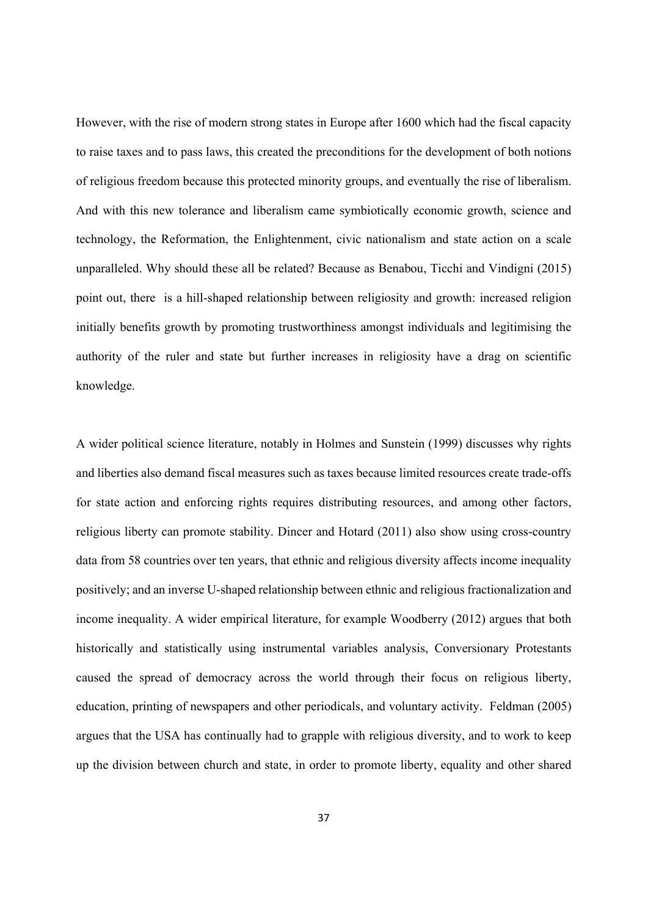However, with the rise of modern strong states in Europe after 1600 which had the fiscal capacity to raise taxes and to pass laws, this created the preconditions for the development of both notions of religious freedom because this protected minority groups, and eventually the rise of liberalism. And with this new tolerance and liberalism came symbiotically economic growth, science and technology, the Reformation, the Enlightenment, civic nationalism and state action on a scale unparalleled. Why should these all be related? Because as Benabou, Ticchi and Vindigni (2015) point out, there is a hill-shaped relationship between religiosity and growth: increased religion initially benefits growth by promoting trustworthiness amongst individuals and legitimising the authority of the ruler and state but further increases in religiosity have a drag on scientific knowledge.

A wider political science literature, notably in Holmes and Sunstein (1999) discusses why rights and liberties also demand fiscal measures such as taxes because limited resources create trade-offs for state action and enforcing rights requires distributing resources, and among other factors, religious liberty can promote stability. Dincer and Hotard (2011) also show using cross-country data from 58 countries over ten years, that ethnic and religious diversity affects income inequality positively; and an inverse U-shaped relationship between ethnic and religious fractionalization and income inequality. A wider empirical literature, for example Woodberry (2012) argues that both historically and statistically using instrumental variables analysis, Conversionary Protestants caused the spread of democracy across the world through their focus on religious liberty, education, printing of newspapers and other periodicals, and voluntary activity. Feldman (2005) argues that the USA has continually had to grapple with religious diversity, and to work to keep up the division between church and state, in order to promote liberty, equality and other shared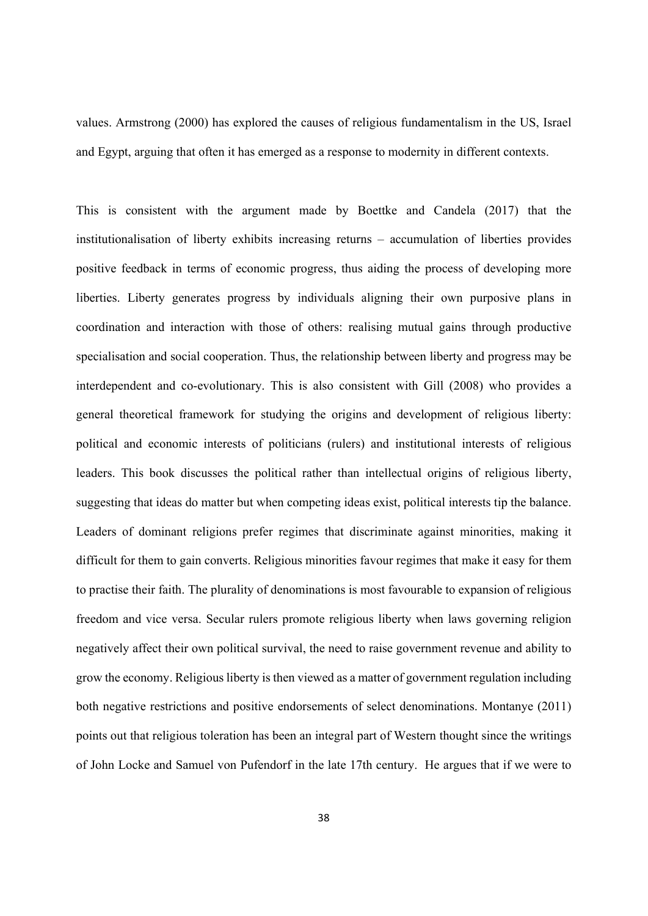values. Armstrong (2000) has explored the causes of religious fundamentalism in the US, Israel and Egypt, arguing that often it has emerged as a response to modernity in different contexts.

This is consistent with the argument made by Boettke and Candela (2017) that the institutionalisation of liberty exhibits increasing returns – accumulation of liberties provides positive feedback in terms of economic progress, thus aiding the process of developing more liberties. Liberty generates progress by individuals aligning their own purposive plans in coordination and interaction with those of others: realising mutual gains through productive specialisation and social cooperation. Thus, the relationship between liberty and progress may be interdependent and co-evolutionary. This is also consistent with Gill (2008) who provides a general theoretical framework for studying the origins and development of religious liberty: political and economic interests of politicians (rulers) and institutional interests of religious leaders. This book discusses the political rather than intellectual origins of religious liberty, suggesting that ideas do matter but when competing ideas exist, political interests tip the balance. Leaders of dominant religions prefer regimes that discriminate against minorities, making it difficult for them to gain converts. Religious minorities favour regimes that make it easy for them to practise their faith. The plurality of denominations is most favourable to expansion of religious freedom and vice versa. Secular rulers promote religious liberty when laws governing religion negatively affect their own political survival, the need to raise government revenue and ability to grow the economy. Religious liberty is then viewed as a matter of government regulation including both negative restrictions and positive endorsements of select denominations. Montanye (2011) points out that religious toleration has been an integral part of Western thought since the writings of John Locke and Samuel von Pufendorf in the late 17th century. He argues that if we were to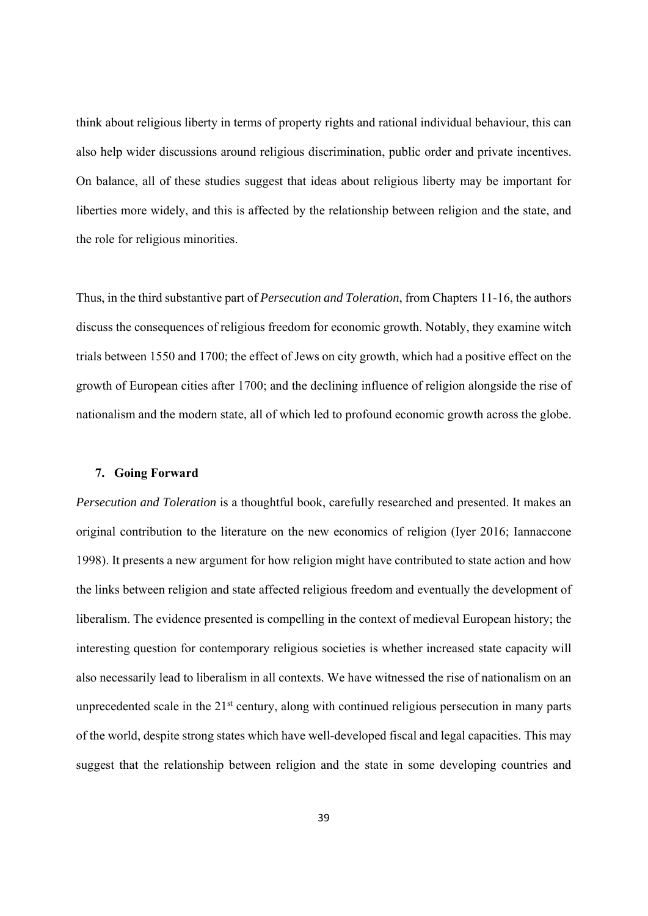think about religious liberty in terms of property rights and rational individual behaviour, this can also help wider discussions around religious discrimination, public order and private incentives. On balance, all of these studies suggest that ideas about religious liberty may be important for liberties more widely, and this is affected by the relationship between religion and the state, and the role for religious minorities.

Thus, in the third substantive part of *Persecution and Toleration*, from Chapters 11-16, the authors discuss the consequences of religious freedom for economic growth. Notably, they examine witch trials between 1550 and 1700; the effect of Jews on city growth, which had a positive effect on the growth of European cities after 1700; and the declining influence of religion alongside the rise of nationalism and the modern state, all of which led to profound economic growth across the globe.

#### **7. Going Forward**

*Persecution and Toleration* is a thoughtful book, carefully researched and presented. It makes an original contribution to the literature on the new economics of religion (Iyer 2016; Iannaccone 1998). It presents a new argument for how religion might have contributed to state action and how the links between religion and state affected religious freedom and eventually the development of liberalism. The evidence presented is compelling in the context of medieval European history; the interesting question for contemporary religious societies is whether increased state capacity will also necessarily lead to liberalism in all contexts. We have witnessed the rise of nationalism on an unprecedented scale in the  $21<sup>st</sup>$  century, along with continued religious persecution in many parts of the world, despite strong states which have well-developed fiscal and legal capacities. This may suggest that the relationship between religion and the state in some developing countries and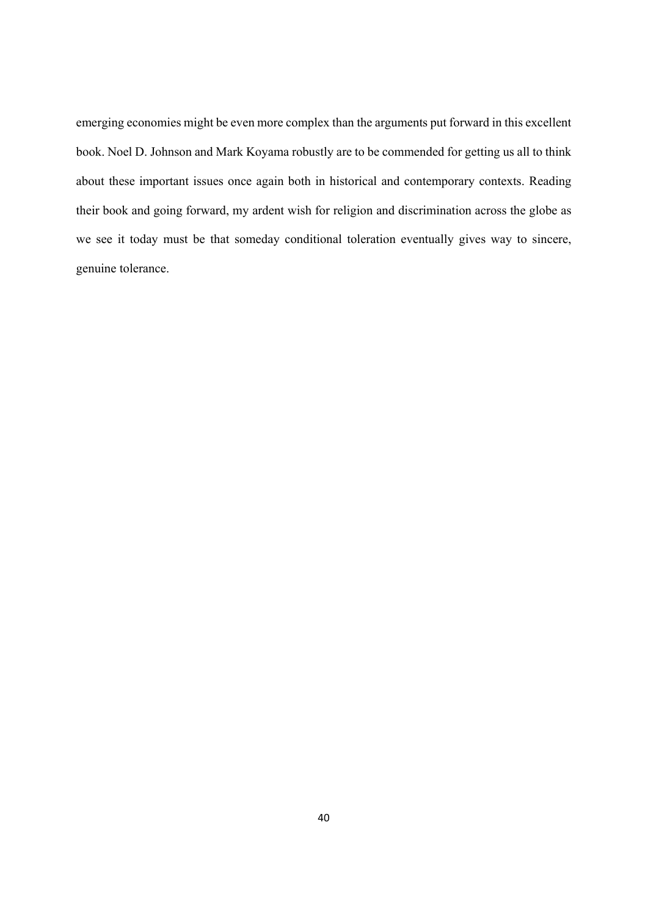emerging economies might be even more complex than the arguments put forward in this excellent book. Noel D. Johnson and Mark Koyama robustly are to be commended for getting us all to think about these important issues once again both in historical and contemporary contexts. Reading their book and going forward, my ardent wish for religion and discrimination across the globe as we see it today must be that someday conditional toleration eventually gives way to sincere, genuine tolerance.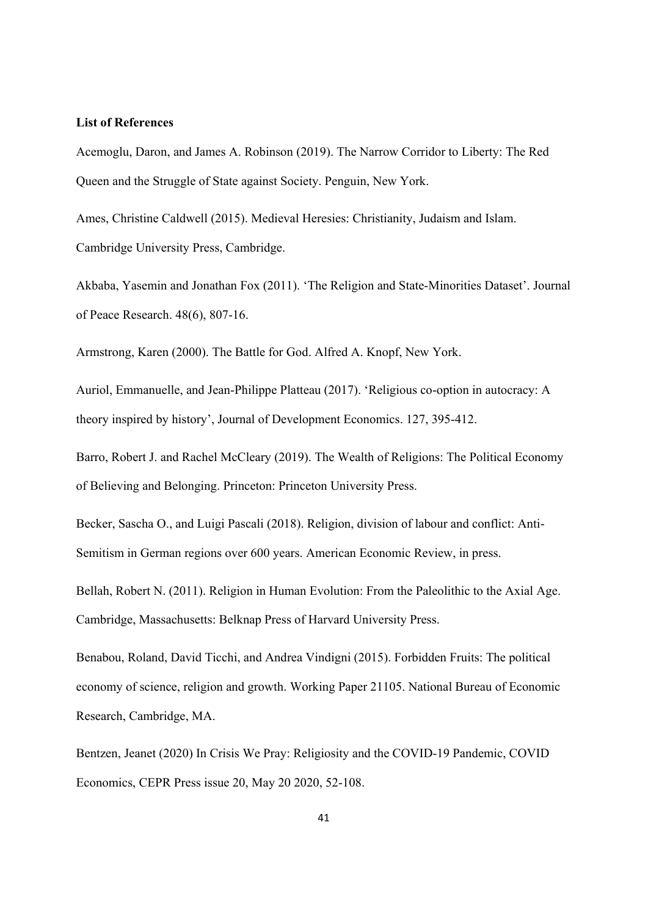#### **List of References**

Acemoglu, Daron, and James A. Robinson (2019). The Narrow Corridor to Liberty: The Red Queen and the Struggle of State against Society. Penguin, New York.

Ames, Christine Caldwell (2015). Medieval Heresies: Christianity, Judaism and Islam. Cambridge University Press, Cambridge.

Akbaba, Yasemin and Jonathan Fox (2011). 'The Religion and State-Minorities Dataset'. Journal of Peace Research. 48(6), 807-16.

Armstrong, Karen (2000). The Battle for God. Alfred A. Knopf, New York.

Auriol, Emmanuelle, and Jean-Philippe Platteau (2017). 'Religious co-option in autocracy: A theory inspired by history', Journal of Development Economics. 127, 395-412.

Barro, Robert J. and Rachel McCleary (2019). The Wealth of Religions: The Political Economy of Believing and Belonging. Princeton: Princeton University Press.

Becker, Sascha O., and Luigi Pascali (2018). Religion, division of labour and conflict: Anti-Semitism in German regions over 600 years. American Economic Review, in press.

Bellah, Robert N. (2011). Religion in Human Evolution: From the Paleolithic to the Axial Age. Cambridge, Massachusetts: Belknap Press of Harvard University Press.

Benabou, Roland, David Ticchi, and Andrea Vindigni (2015). Forbidden Fruits: The political economy of science, religion and growth. Working Paper 21105. National Bureau of Economic Research, Cambridge, MA.

Bentzen, Jeanet (2020) In Crisis We Pray: Religiosity and the COVID-19 Pandemic, COVID Economics, CEPR Press issue 20, May 20 2020, 52-108.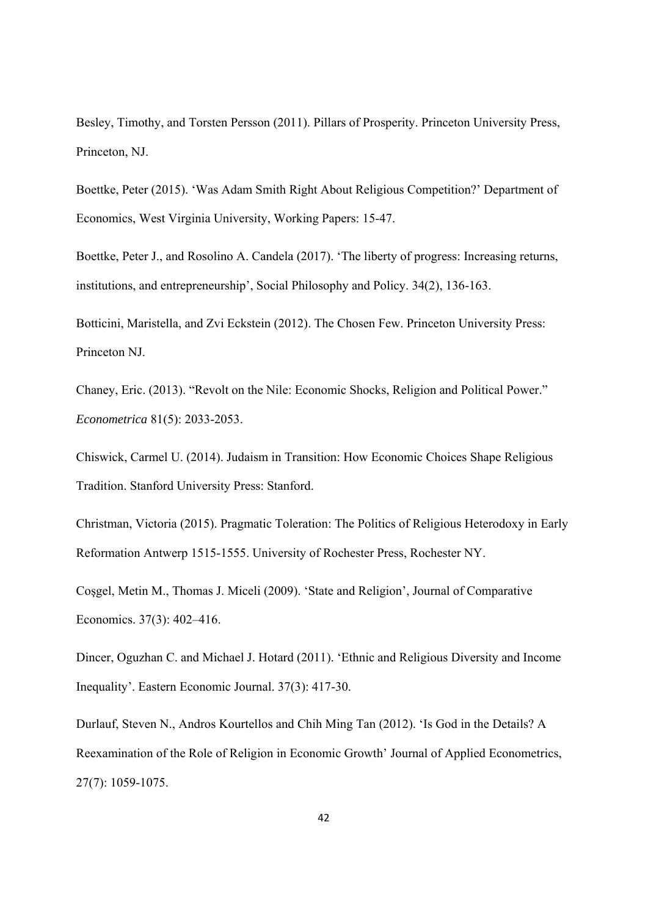Besley, Timothy, and Torsten Persson (2011). Pillars of Prosperity. Princeton University Press, Princeton, NJ.

Boettke, Peter (2015). 'Was Adam Smith Right About Religious Competition?' Department of Economics, West Virginia University, Working Papers: 15-47.

Boettke, Peter J., and Rosolino A. Candela (2017). 'The liberty of progress: Increasing returns, institutions, and entrepreneurship', Social Philosophy and Policy. 34(2), 136-163.

Botticini, Maristella, and Zvi Eckstein (2012). The Chosen Few. Princeton University Press: Princeton NJ.

Chaney, Eric. (2013). "Revolt on the Nile: Economic Shocks, Religion and Political Power." *Econometrica* 81(5): 2033-2053.

Chiswick, Carmel U. (2014). Judaism in Transition: How Economic Choices Shape Religious Tradition. Stanford University Press: Stanford.

Christman, Victoria (2015). Pragmatic Toleration: The Politics of Religious Heterodoxy in Early Reformation Antwerp 1515-1555. University of Rochester Press, Rochester NY.

Coşgel, Metin M., Thomas J. Miceli (2009). 'State and Religion', Journal of Comparative Economics. 37(3): 402–416.

Dincer, Oguzhan C. and Michael J. Hotard (2011). 'Ethnic and Religious Diversity and Income Inequality'. Eastern Economic Journal. 37(3): 417-30.

Durlauf, Steven N., Andros Kourtellos and Chih Ming Tan (2012). 'Is God in the Details? A Reexamination of the Role of Religion in Economic Growth' Journal of Applied Econometrics, 27(7): 1059-1075.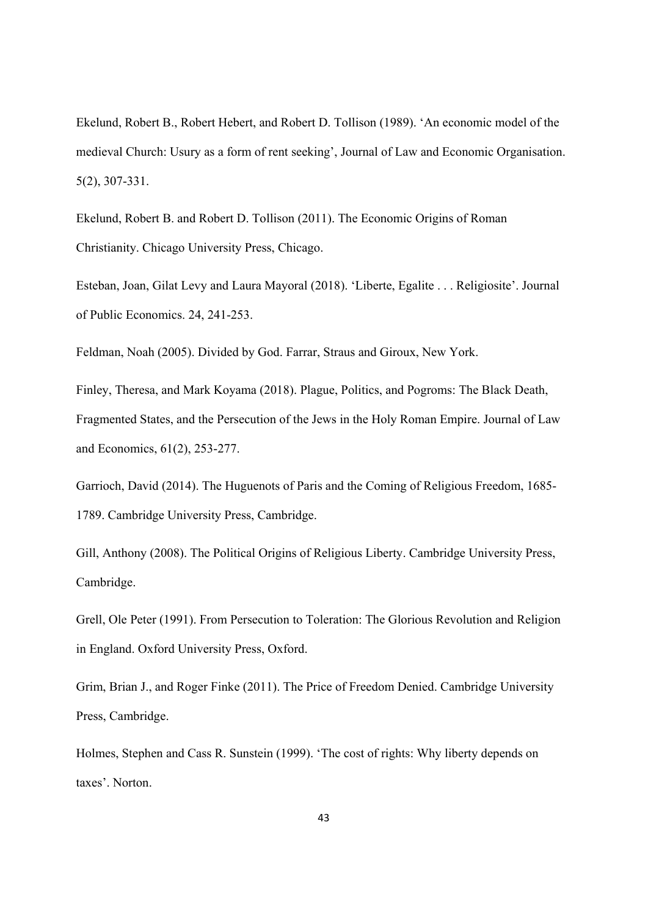Ekelund, Robert B., Robert Hebert, and Robert D. Tollison (1989). 'An economic model of the medieval Church: Usury as a form of rent seeking', Journal of Law and Economic Organisation. 5(2), 307-331.

Ekelund, Robert B. and Robert D. Tollison (2011). The Economic Origins of Roman Christianity. Chicago University Press, Chicago.

Esteban, Joan, Gilat Levy and Laura Mayoral (2018). 'Liberte, Egalite . . . Religiosite'. Journal of Public Economics. 24, 241-253.

Feldman, Noah (2005). Divided by God. Farrar, Straus and Giroux, New York.

Finley, Theresa, and Mark Koyama (2018). Plague, Politics, and Pogroms: The Black Death, Fragmented States, and the Persecution of the Jews in the Holy Roman Empire. Journal of Law and Economics, 61(2), 253-277.

Garrioch, David (2014). The Huguenots of Paris and the Coming of Religious Freedom, 1685- 1789. Cambridge University Press, Cambridge.

Gill, Anthony (2008). The Political Origins of Religious Liberty. Cambridge University Press, Cambridge.

Grell, Ole Peter (1991). From Persecution to Toleration: The Glorious Revolution and Religion in England. Oxford University Press, Oxford.

Grim, Brian J., and Roger Finke (2011). The Price of Freedom Denied. Cambridge University Press, Cambridge.

Holmes, Stephen and Cass R. Sunstein (1999). 'The cost of rights: Why liberty depends on taxes'. Norton.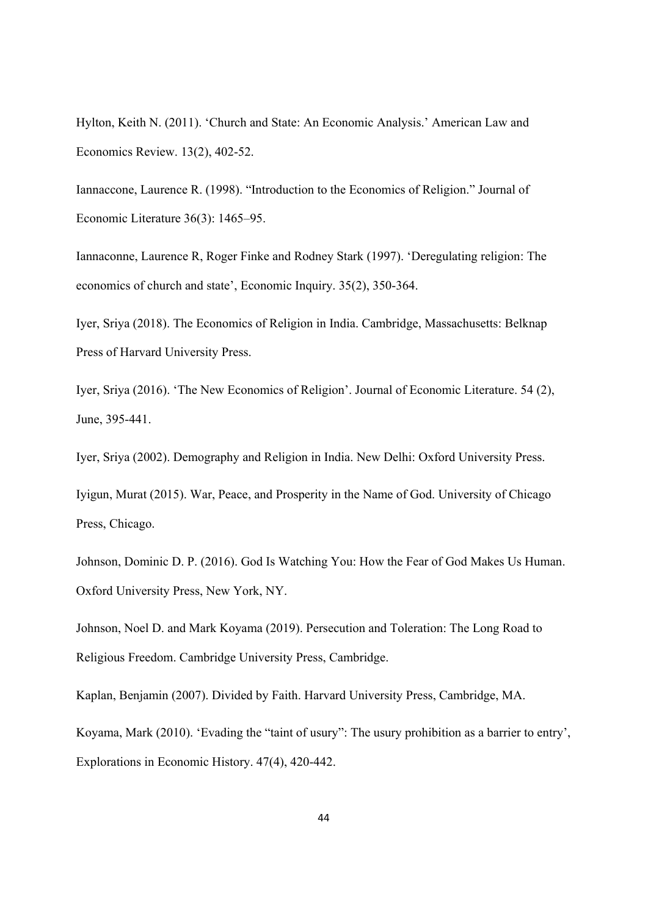Hylton, Keith N. (2011). 'Church and State: An Economic Analysis.' American Law and Economics Review. 13(2), 402-52.

Iannaccone, Laurence R. (1998). "Introduction to the Economics of Religion." Journal of Economic Literature 36(3): 1465–95.

Iannaconne, Laurence R, Roger Finke and Rodney Stark (1997). 'Deregulating religion: The economics of church and state', Economic Inquiry. 35(2), 350-364.

Iyer, Sriya (2018). The Economics of Religion in India. Cambridge, Massachusetts: Belknap Press of Harvard University Press.

Iyer, Sriya (2016). 'The New Economics of Religion'. Journal of Economic Literature. 54 (2), June, 395-441.

Iyer, Sriya (2002). Demography and Religion in India. New Delhi: Oxford University Press.

Iyigun, Murat (2015). War, Peace, and Prosperity in the Name of God. University of Chicago Press, Chicago.

Johnson, Dominic D. P. (2016). God Is Watching You: How the Fear of God Makes Us Human. Oxford University Press, New York, NY.

Johnson, Noel D. and Mark Koyama (2019). Persecution and Toleration: The Long Road to Religious Freedom. Cambridge University Press, Cambridge.

Kaplan, Benjamin (2007). Divided by Faith. Harvard University Press, Cambridge, MA.

Koyama, Mark (2010). 'Evading the "taint of usury": The usury prohibition as a barrier to entry', Explorations in Economic History. 47(4), 420-442.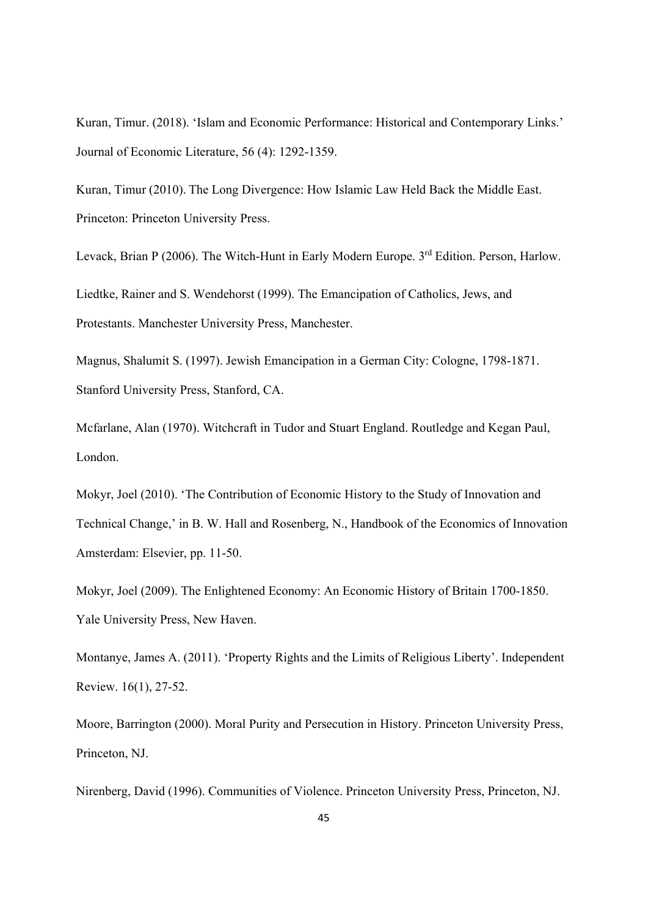Kuran, Timur. (2018). 'Islam and Economic Performance: Historical and Contemporary Links.' Journal of Economic Literature, 56 (4): 1292-1359.

Kuran, Timur (2010). The Long Divergence: How Islamic Law Held Back the Middle East. Princeton: Princeton University Press.

Levack, Brian P (2006). The Witch-Hunt in Early Modern Europe. 3<sup>rd</sup> Edition. Person, Harlow. Liedtke, Rainer and S. Wendehorst (1999). The Emancipation of Catholics, Jews, and Protestants. Manchester University Press, Manchester.

Magnus, Shalumit S. (1997). Jewish Emancipation in a German City: Cologne, 1798-1871. Stanford University Press, Stanford, CA.

Mcfarlane, Alan (1970). Witchcraft in Tudor and Stuart England. Routledge and Kegan Paul, London.

Mokyr, Joel (2010). 'The Contribution of Economic History to the Study of Innovation and Technical Change,' in B. W. Hall and Rosenberg, N., Handbook of the Economics of Innovation Amsterdam: Elsevier, pp. 11-50.

Mokyr, Joel (2009). The Enlightened Economy: An Economic History of Britain 1700-1850. Yale University Press, New Haven.

Montanye, James A. (2011). 'Property Rights and the Limits of Religious Liberty'. Independent Review. 16(1), 27-52.

Moore, Barrington (2000). Moral Purity and Persecution in History. Princeton University Press, Princeton, NJ.

Nirenberg, David (1996). Communities of Violence. Princeton University Press, Princeton, NJ.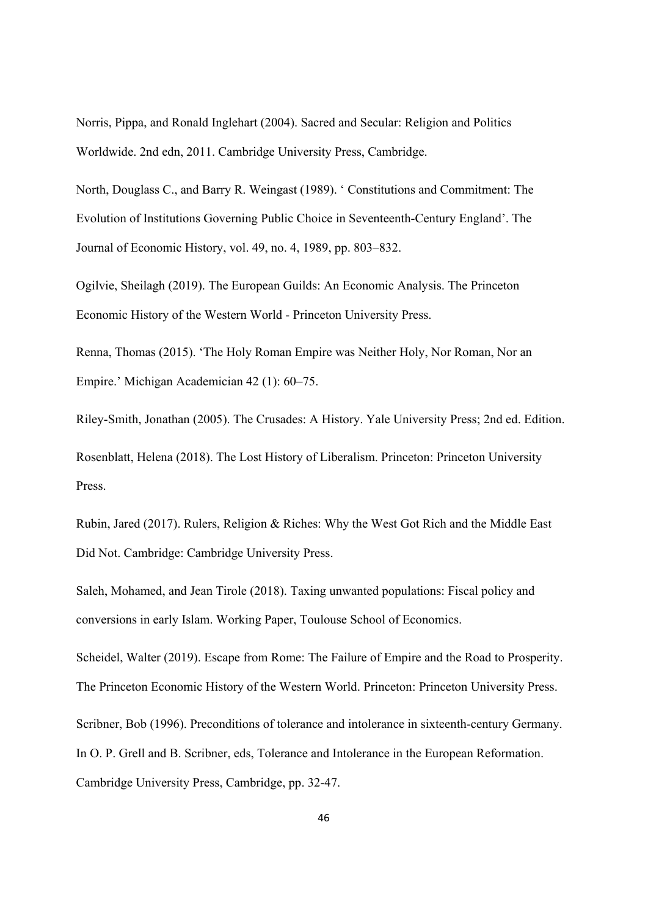Norris, Pippa, and Ronald Inglehart (2004). Sacred and Secular: Religion and Politics Worldwide. 2nd edn, 2011. Cambridge University Press, Cambridge.

North, Douglass C., and Barry R. Weingast (1989). ' Constitutions and Commitment: The Evolution of Institutions Governing Public Choice in Seventeenth-Century England'. The Journal of Economic History, vol. 49, no. 4, 1989, pp. 803–832.

Ogilvie, Sheilagh (2019). The European Guilds: An Economic Analysis. The Princeton Economic History of the Western World - Princeton University Press.

Renna, Thomas (2015). 'The Holy Roman Empire was Neither Holy, Nor Roman, Nor an Empire.' Michigan Academician 42 (1): 60–75.

Riley-Smith, Jonathan (2005). The Crusades: A History. Yale University Press; 2nd ed. Edition. Rosenblatt, Helena (2018). The Lost History of Liberalism. Princeton: Princeton University Press.

Rubin, Jared (2017). Rulers, Religion & Riches: Why the West Got Rich and the Middle East Did Not. Cambridge: Cambridge University Press.

Saleh, Mohamed, and Jean Tirole (2018). Taxing unwanted populations: Fiscal policy and conversions in early Islam. Working Paper, Toulouse School of Economics.

Scheidel, Walter (2019). Escape from Rome: The Failure of Empire and the Road to Prosperity. The Princeton Economic History of the Western World. Princeton: Princeton University Press. Scribner, Bob (1996). Preconditions of tolerance and intolerance in sixteenth-century Germany. In O. P. Grell and B. Scribner, eds, Tolerance and Intolerance in the European Reformation. Cambridge University Press, Cambridge, pp. 32-47.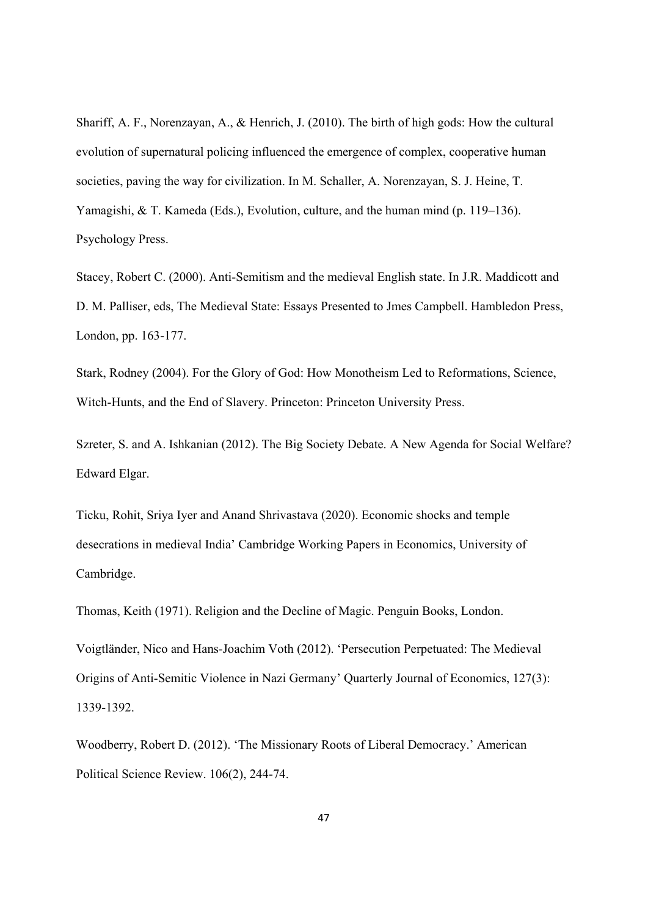Shariff, A. F., Norenzayan, A., & Henrich, J. (2010). The birth of high gods: How the cultural evolution of supernatural policing influenced the emergence of complex, cooperative human societies, paving the way for civilization. In M. Schaller, A. Norenzayan, S. J. Heine, T. Yamagishi, & T. Kameda (Eds.), Evolution, culture, and the human mind (p. 119–136). Psychology Press.

Stacey, Robert C. (2000). Anti-Semitism and the medieval English state. In J.R. Maddicott and D. M. Palliser, eds, The Medieval State: Essays Presented to Jmes Campbell. Hambledon Press, London, pp. 163-177.

Stark, Rodney (2004). For the Glory of God: How Monotheism Led to Reformations, Science, Witch-Hunts, and the End of Slavery. Princeton: Princeton University Press.

Szreter, S. and A. Ishkanian (2012). The Big Society Debate. A New Agenda for Social Welfare? Edward Elgar.

Ticku, Rohit, Sriya Iyer and Anand Shrivastava (2020). Economic shocks and temple desecrations in medieval India' Cambridge Working Papers in Economics, University of Cambridge.

Thomas, Keith (1971). Religion and the Decline of Magic. Penguin Books, London.

Voigtländer, Nico and Hans-Joachim Voth (2012). 'Persecution Perpetuated: The Medieval Origins of Anti-Semitic Violence in Nazi Germany' Quarterly Journal of Economics, 127(3): 1339-1392.

Woodberry, Robert D. (2012). 'The Missionary Roots of Liberal Democracy.' American Political Science Review. 106(2), 244-74.